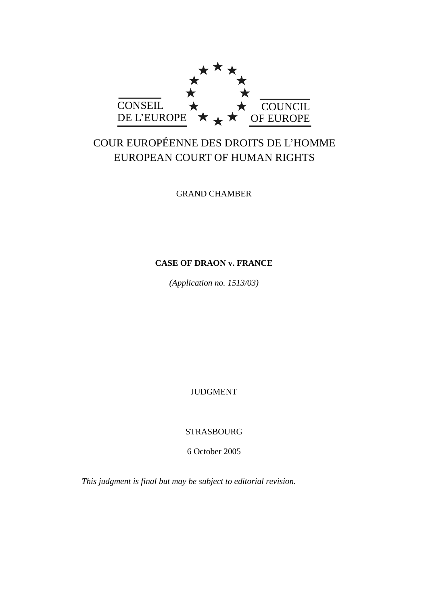

# COUR EUROPÉENNE DES DROITS DE L'HOMME EUROPEAN COURT OF HUMAN RIGHTS

GRAND CHAMBER

## **CASE OF DRAON v. FRANCE**

*(Application no. 1513/03)*

JUDGMENT

STRASBOURG

6 October 2005

*This judgment is final but may be subject to editorial revision.*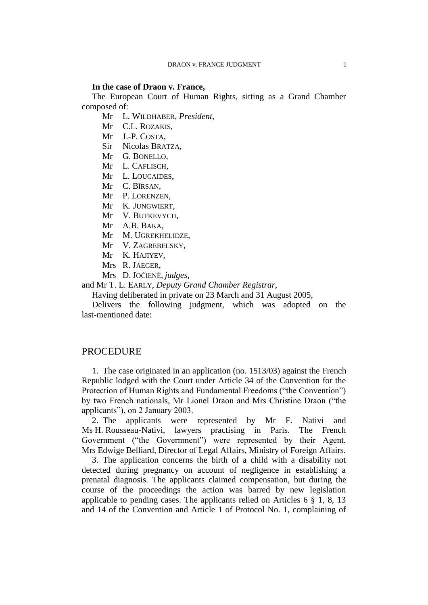#### **In the case of Draon v. France,**

The European Court of Human Rights, sitting as a Grand Chamber composed of:

Mr L. WILDHABER, *President*,

Mr C.L. ROZAKIS,

Mr J.-P. COSTA,

Sir Nicolas BRATZA,

Mr G. BONELLO,

Mr L. CAFLISCH,

Mr L. LOUCAIDES,

Mr C. BÎRSAN,

Mr P. LORENZEN,

Mr K. JUNGWIERT,

Mr V. BUTKEVYCH,

Mr A.B. BAKA,

Mr M. UGREKHELIDZE,

Mr V. ZAGREBELSKY,

Mr K. HAJIYEV,

Mrs R. JAEGER,

Mrs D. JOČIENĖ, *judges*,

and Mr T. L. EARLY, *Deputy Grand Chamber Registrar*,

Having deliberated in private on 23 March and 31 August 2005,

Delivers the following judgment, which was adopted on the last-mentioned date:

### **PROCEDURE**

1. The case originated in an application (no. 1513/03) against the French Republic lodged with the Court under Article 34 of the Convention for the Protection of Human Rights and Fundamental Freedoms ("the Convention") by two French nationals, Mr Lionel Draon and Mrs Christine Draon ("the applicants"), on 2 January 2003.

2. The applicants were represented by Mr F. Nativi and Ms H. Rousseau-Nativi, lawyers practising in Paris. The French Government ("the Government") were represented by their Agent, Mrs Edwige Belliard, Director of Legal Affairs, Ministry of Foreign Affairs.

3. The application concerns the birth of a child with a disability not detected during pregnancy on account of negligence in establishing a prenatal diagnosis. The applicants claimed compensation, but during the course of the proceedings the action was barred by new legislation applicable to pending cases. The applicants relied on Articles  $6 \tbinom{8}{3}$  1, 8, 13 and 14 of the Convention and Article 1 of Protocol No. 1, complaining of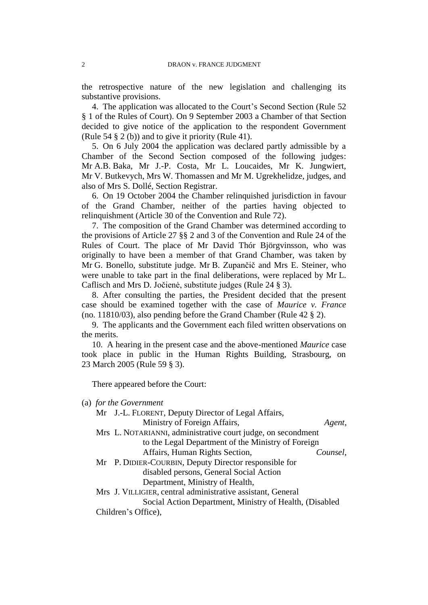the retrospective nature of the new legislation and challenging its substantive provisions.

4. The application was allocated to the Court's Second Section (Rule 52 § 1 of the Rules of Court). On 9 September 2003 a Chamber of that Section decided to give notice of the application to the respondent Government (Rule 54 § 2 (b)) and to give it priority (Rule 41).

5. On 6 July 2004 the application was declared partly admissible by a Chamber of the Second Section composed of the following judges: Mr A.B. Baka, Mr J.-P. Costa, Mr L. Loucaides, Mr K. Jungwiert, Mr V. Butkevych, Mrs W. Thomassen and Mr M. Ugrekhelidze, judges, and also of Mrs S. Dollé, Section Registrar.

6. On 19 October 2004 the Chamber relinquished jurisdiction in favour of the Grand Chamber, neither of the parties having objected to relinquishment (Article 30 of the Convention and Rule 72).

7. The composition of the Grand Chamber was determined according to the provisions of Article 27 §§ 2 and 3 of the Convention and Rule 24 of the Rules of Court. The place of Mr David Thór Björgvinsson, who was originally to have been a member of that Grand Chamber, was taken by Mr G. Bonello, substitute judge. Mr B. Zupančič and Mrs E. Steiner, who were unable to take part in the final deliberations, were replaced by Mr L. Caflisch and Mrs D. Jočienė, substitute judges (Rule 24 § 3).

8. After consulting the parties, the President decided that the present case should be examined together with the case of *Maurice v. France* (no. 11810/03), also pending before the Grand Chamber (Rule 42 § 2).

9. The applicants and the Government each filed written observations on the merits.

10. A hearing in the present case and the above-mentioned *Maurice* case took place in public in the Human Rights Building, Strasbourg, on 23 March 2005 (Rule 59 § 3).

There appeared before the Court:

|  |  |  | (a) for the Government |
|--|--|--|------------------------|
|--|--|--|------------------------|

| Mr J.-L. FLORENT, Deputy Director of Legal Affairs,          |  |  |  |  |  |
|--------------------------------------------------------------|--|--|--|--|--|
| Ministry of Foreign Affairs,<br>Agent,                       |  |  |  |  |  |
| Mrs L. NOTARIANNI, administrative court judge, on secondment |  |  |  |  |  |
| to the Legal Department of the Ministry of Foreign           |  |  |  |  |  |
| Affairs, Human Rights Section,<br>Counsel,                   |  |  |  |  |  |
| Mr P. DIDIER-COURBIN, Deputy Director responsible for        |  |  |  |  |  |
| disabled persons, General Social Action                      |  |  |  |  |  |
| Department, Ministry of Health,                              |  |  |  |  |  |
| Mrs J. VILLIGIER, central administrative assistant, General  |  |  |  |  |  |
| Social Action Department, Ministry of Health, (Disabled      |  |  |  |  |  |
| Children's Office),                                          |  |  |  |  |  |
|                                                              |  |  |  |  |  |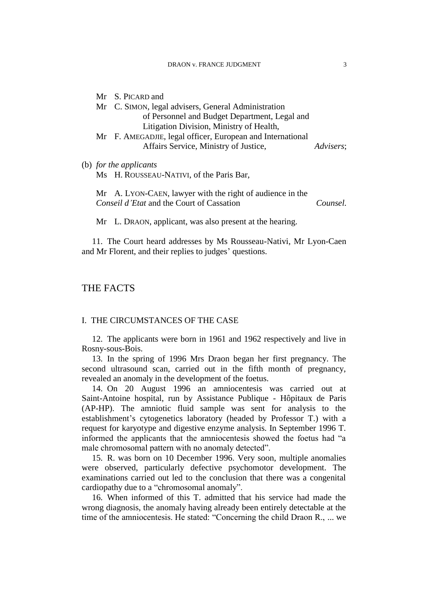|  | Mr S. PICARD and                                           |           |
|--|------------------------------------------------------------|-----------|
|  | Mr C. SIMON, legal advisers, General Administration        |           |
|  | of Personnel and Budget Department, Legal and              |           |
|  | Litigation Division, Ministry of Health,                   |           |
|  | Mr F. AMEGADJIE, legal officer, European and International |           |
|  | Affairs Service, Ministry of Justice,                      | Advisers; |
|  | (b) for the applicants                                     |           |
|  | Ms H. ROUSSEAU-NATIVI, of the Paris Bar,                   |           |

Mr A. LYON-CAEN, lawyer with the right of audience in the *Conseil d'Etat* and the Court of Cassation *Counsel.*

Mr L. DRAON, applicant, was also present at the hearing.

11. The Court heard addresses by Ms Rousseau-Nativi, Mr Lyon-Caen and Mr Florent, and their replies to judges' questions.

### THE FACTS

#### I. THE CIRCUMSTANCES OF THE CASE

12. The applicants were born in 1961 and 1962 respectively and live in Rosny-sous-Bois.

13. In the spring of 1996 Mrs Draon began her first pregnancy. The second ultrasound scan, carried out in the fifth month of pregnancy, revealed an anomaly in the development of the foetus.

14. On 20 August 1996 an amniocentesis was carried out at Saint-Antoine hospital, run by Assistance Publique - Hôpitaux de Paris (AP-HP). The amniotic fluid sample was sent for analysis to the establishment's cytogenetics laboratory (headed by Professor T.) with a request for karyotype and digestive enzyme analysis. In September 1996 T. informed the applicants that the amniocentesis showed the foetus had "a male chromosomal pattern with no anomaly detected".

15. R. was born on 10 December 1996. Very soon, multiple anomalies were observed, particularly defective psychomotor development. The examinations carried out led to the conclusion that there was a congenital cardiopathy due to a "chromosomal anomaly".

16. When informed of this T. admitted that his service had made the wrong diagnosis, the anomaly having already been entirely detectable at the time of the amniocentesis. He stated: "Concerning the child Draon R., ... we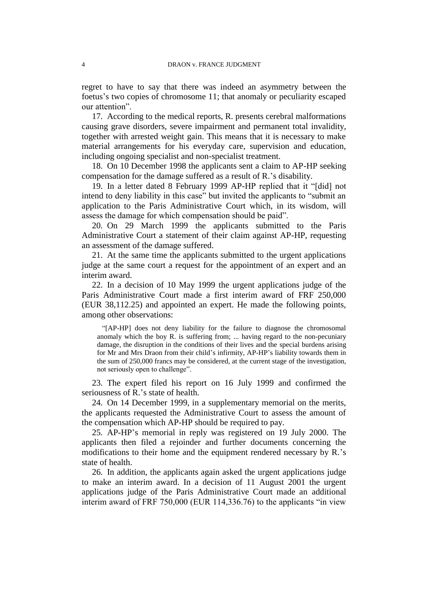regret to have to say that there was indeed an asymmetry between the foetus's two copies of chromosome 11; that anomaly or peculiarity escaped our attention".

17. According to the medical reports, R. presents cerebral malformations causing grave disorders, severe impairment and permanent total invalidity, together with arrested weight gain. This means that it is necessary to make material arrangements for his everyday care, supervision and education, including ongoing specialist and non-specialist treatment.

18. On 10 December 1998 the applicants sent a claim to AP-HP seeking compensation for the damage suffered as a result of R.'s disability.

19. In a letter dated 8 February 1999 AP-HP replied that it "[did] not intend to deny liability in this case" but invited the applicants to "submit an application to the Paris Administrative Court which, in its wisdom, will assess the damage for which compensation should be paid".

20. On 29 March 1999 the applicants submitted to the Paris Administrative Court a statement of their claim against AP-HP, requesting an assessment of the damage suffered.

21. At the same time the applicants submitted to the urgent applications judge at the same court a request for the appointment of an expert and an interim award.

22. In a decision of 10 May 1999 the urgent applications judge of the Paris Administrative Court made a first interim award of FRF 250,000 (EUR 38,112.25) and appointed an expert. He made the following points, among other observations:

"[AP-HP] does not deny liability for the failure to diagnose the chromosomal anomaly which the boy R. is suffering from; ... having regard to the non-pecuniary damage, the disruption in the conditions of their lives and the special burdens arising for Mr and Mrs Draon from their child's infirmity, AP-HP's liability towards them in the sum of 250,000 francs may be considered, at the current stage of the investigation, not seriously open to challenge".

23. The expert filed his report on 16 July 1999 and confirmed the seriousness of R.'s state of health.

24. On 14 December 1999, in a supplementary memorial on the merits, the applicants requested the Administrative Court to assess the amount of the compensation which AP-HP should be required to pay.

25. AP-HP's memorial in reply was registered on 19 July 2000. The applicants then filed a rejoinder and further documents concerning the modifications to their home and the equipment rendered necessary by R.'s state of health.

26. In addition, the applicants again asked the urgent applications judge to make an interim award. In a decision of 11 August 2001 the urgent applications judge of the Paris Administrative Court made an additional interim award of FRF 750,000 (EUR 114,336.76) to the applicants "in view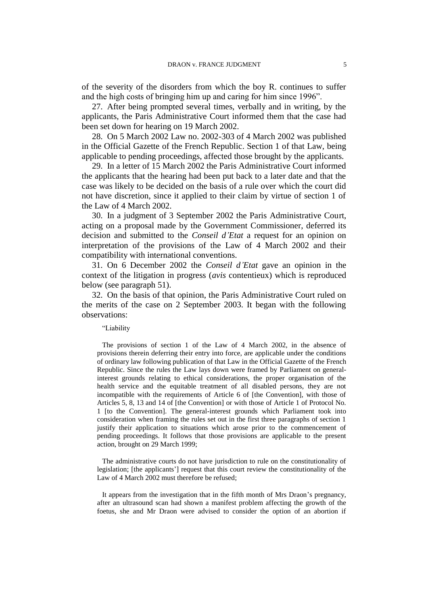of the severity of the disorders from which the boy R. continues to suffer and the high costs of bringing him up and caring for him since 1996".

27. After being prompted several times, verbally and in writing, by the applicants, the Paris Administrative Court informed them that the case had been set down for hearing on 19 March 2002.

28. On 5 March 2002 Law no. 2002-303 of 4 March 2002 was published in the Official Gazette of the French Republic. Section 1 of that Law, being applicable to pending proceedings, affected those brought by the applicants.

29. In a letter of 15 March 2002 the Paris Administrative Court informed the applicants that the hearing had been put back to a later date and that the case was likely to be decided on the basis of a rule over which the court did not have discretion, since it applied to their claim by virtue of section 1 of the Law of 4 March 2002.

30. In a judgment of 3 September 2002 the Paris Administrative Court, acting on a proposal made by the Government Commissioner, deferred its decision and submitted to the *Conseil d'Etat* a request for an opinion on interpretation of the provisions of the Law of 4 March 2002 and their compatibility with international conventions.

31. On 6 December 2002 the *Conseil d'Etat* gave an opinion in the context of the litigation in progress (*avis* contentieux) which is reproduced below (see paragraph 51).

32. On the basis of that opinion, the Paris Administrative Court ruled on the merits of the case on 2 September 2003. It began with the following observations:

#### "Liability

The provisions of section 1 of the Law of 4 March 2002, in the absence of provisions therein deferring their entry into force, are applicable under the conditions of ordinary law following publication of that Law in the Official Gazette of the French Republic. Since the rules the Law lays down were framed by Parliament on generalinterest grounds relating to ethical considerations, the proper organisation of the health service and the equitable treatment of all disabled persons, they are not incompatible with the requirements of Article 6 of [the Convention], with those of Articles 5, 8, 13 and 14 of [the Convention] or with those of Article 1 of Protocol No. 1 [to the Convention]. The general-interest grounds which Parliament took into consideration when framing the rules set out in the first three paragraphs of section 1 justify their application to situations which arose prior to the commencement of pending proceedings. It follows that those provisions are applicable to the present action, brought on 29 March 1999;

The administrative courts do not have jurisdiction to rule on the constitutionality of legislation; [the applicants'] request that this court review the constitutionality of the Law of 4 March 2002 must therefore be refused;

It appears from the investigation that in the fifth month of Mrs Draon's pregnancy, after an ultrasound scan had shown a manifest problem affecting the growth of the foetus, she and Mr Draon were advised to consider the option of an abortion if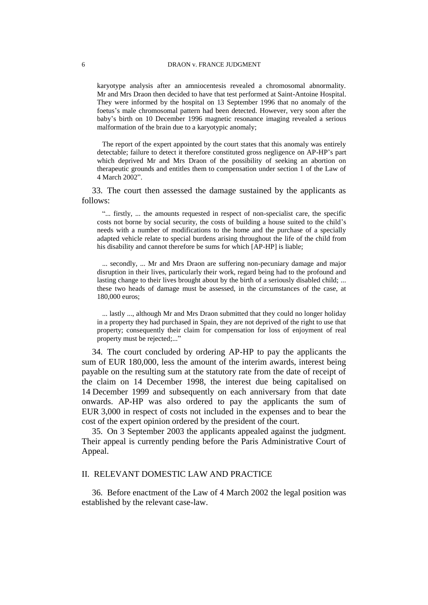karyotype analysis after an amniocentesis revealed a chromosomal abnormality. Mr and Mrs Draon then decided to have that test performed at Saint-Antoine Hospital. They were informed by the hospital on 13 September 1996 that no anomaly of the foetus's male chromosomal pattern had been detected. However, very soon after the baby's birth on 10 December 1996 magnetic resonance imaging revealed a serious malformation of the brain due to a karyotypic anomaly;

The report of the expert appointed by the court states that this anomaly was entirely detectable; failure to detect it therefore constituted gross negligence on AP-HP's part which deprived Mr and Mrs Draon of the possibility of seeking an abortion on therapeutic grounds and entitles them to compensation under section 1 of the Law of 4 March 2002".

33. The court then assessed the damage sustained by the applicants as follows:

"... firstly, ... the amounts requested in respect of non-specialist care, the specific costs not borne by social security, the costs of building a house suited to the child's needs with a number of modifications to the home and the purchase of a specially adapted vehicle relate to special burdens arising throughout the life of the child from his disability and cannot therefore be sums for which [AP-HP] is liable;

... secondly, ... Mr and Mrs Draon are suffering non-pecuniary damage and major disruption in their lives, particularly their work, regard being had to the profound and lasting change to their lives brought about by the birth of a seriously disabled child; ... these two heads of damage must be assessed, in the circumstances of the case, at 180,000 euros;

... lastly ..., although Mr and Mrs Draon submitted that they could no longer holiday in a property they had purchased in Spain, they are not deprived of the right to use that property; consequently their claim for compensation for loss of enjoyment of real property must be rejected;..."

34. The court concluded by ordering AP-HP to pay the applicants the sum of EUR 180,000, less the amount of the interim awards, interest being payable on the resulting sum at the statutory rate from the date of receipt of the claim on 14 December 1998, the interest due being capitalised on 14 December 1999 and subsequently on each anniversary from that date onwards. AP-HP was also ordered to pay the applicants the sum of EUR 3,000 in respect of costs not included in the expenses and to bear the cost of the expert opinion ordered by the president of the court.

35. On 3 September 2003 the applicants appealed against the judgment. Their appeal is currently pending before the Paris Administrative Court of Appeal.

#### II. RELEVANT DOMESTIC LAW AND PRACTICE

36. Before enactment of the Law of 4 March 2002 the legal position was established by the relevant case-law.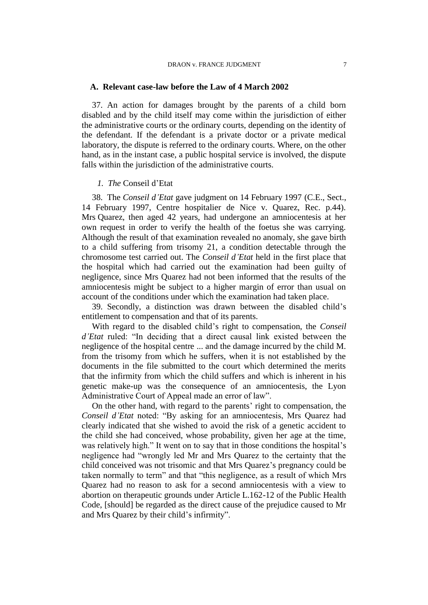#### DRAON v. FRANCE JUDGMENT 7

#### **A. Relevant case-law before the Law of 4 March 2002**

37. An action for damages brought by the parents of a child born disabled and by the child itself may come within the jurisdiction of either the administrative courts or the ordinary courts, depending on the identity of the defendant. If the defendant is a private doctor or a private medical laboratory, the dispute is referred to the ordinary courts. Where, on the other hand, as in the instant case, a public hospital service is involved, the dispute falls within the jurisdiction of the administrative courts.

#### *1. The* Conseil d'Etat

38. The *Conseil d'Etat* gave judgment on 14 February 1997 (C.E., Sect., 14 February 1997, Centre hospitalier de Nice v. Quarez, Rec. p.44). Mrs Quarez, then aged 42 years, had undergone an amniocentesis at her own request in order to verify the health of the foetus she was carrying. Although the result of that examination revealed no anomaly, she gave birth to a child suffering from trisomy 21, a condition detectable through the chromosome test carried out. The *Conseil d'Etat* held in the first place that the hospital which had carried out the examination had been guilty of negligence, since Mrs Quarez had not been informed that the results of the amniocentesis might be subject to a higher margin of error than usual on account of the conditions under which the examination had taken place.

39. Secondly, a distinction was drawn between the disabled child's entitlement to compensation and that of its parents.

With regard to the disabled child's right to compensation, the *Conseil d'Etat* ruled: "In deciding that a direct causal link existed between the negligence of the hospital centre ... and the damage incurred by the child M. from the trisomy from which he suffers, when it is not established by the documents in the file submitted to the court which determined the merits that the infirmity from which the child suffers and which is inherent in his genetic make-up was the consequence of an amniocentesis, the Lyon Administrative Court of Appeal made an error of law".

On the other hand, with regard to the parents' right to compensation, the *Conseil d'Etat* noted: "By asking for an amniocentesis, Mrs Quarez had clearly indicated that she wished to avoid the risk of a genetic accident to the child she had conceived, whose probability, given her age at the time, was relatively high." It went on to say that in those conditions the hospital's negligence had "wrongly led Mr and Mrs Quarez to the certainty that the child conceived was not trisomic and that Mrs Quarez's pregnancy could be taken normally to term" and that "this negligence, as a result of which Mrs Quarez had no reason to ask for a second amniocentesis with a view to abortion on therapeutic grounds under Article L.162-12 of the Public Health Code, [should] be regarded as the direct cause of the prejudice caused to Mr and Mrs Quarez by their child's infirmity".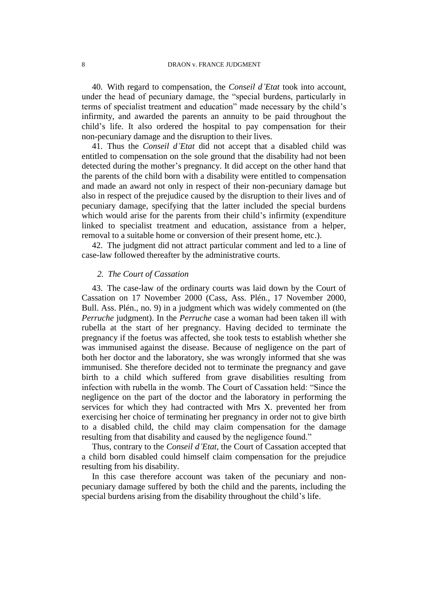40. With regard to compensation, the *Conseil d'Etat* took into account, under the head of pecuniary damage, the "special burdens, particularly in terms of specialist treatment and education" made necessary by the child's infirmity, and awarded the parents an annuity to be paid throughout the child's life. It also ordered the hospital to pay compensation for their non-pecuniary damage and the disruption to their lives.

41. Thus the *Conseil d'Etat* did not accept that a disabled child was entitled to compensation on the sole ground that the disability had not been detected during the mother's pregnancy. It did accept on the other hand that the parents of the child born with a disability were entitled to compensation and made an award not only in respect of their non-pecuniary damage but also in respect of the prejudice caused by the disruption to their lives and of pecuniary damage, specifying that the latter included the special burdens which would arise for the parents from their child's infirmity (expenditure linked to specialist treatment and education, assistance from a helper, removal to a suitable home or conversion of their present home, etc.).

42. The judgment did not attract particular comment and led to a line of case-law followed thereafter by the administrative courts.

### *2. The Court of Cassation*

43. The case-law of the ordinary courts was laid down by the Court of Cassation on 17 November 2000 (Cass, Ass. Plén., 17 November 2000, Bull. Ass. Plén., no. 9) in a judgment which was widely commented on (the *Perruche* judgment). In the *Perruche* case a woman had been taken ill with rubella at the start of her pregnancy. Having decided to terminate the pregnancy if the foetus was affected, she took tests to establish whether she was immunised against the disease. Because of negligence on the part of both her doctor and the laboratory, she was wrongly informed that she was immunised. She therefore decided not to terminate the pregnancy and gave birth to a child which suffered from grave disabilities resulting from infection with rubella in the womb. The Court of Cassation held: "Since the negligence on the part of the doctor and the laboratory in performing the services for which they had contracted with Mrs X. prevented her from exercising her choice of terminating her pregnancy in order not to give birth to a disabled child, the child may claim compensation for the damage resulting from that disability and caused by the negligence found."

Thus, contrary to the *Conseil d'Etat*, the Court of Cassation accepted that a child born disabled could himself claim compensation for the prejudice resulting from his disability.

In this case therefore account was taken of the pecuniary and nonpecuniary damage suffered by both the child and the parents, including the special burdens arising from the disability throughout the child's life.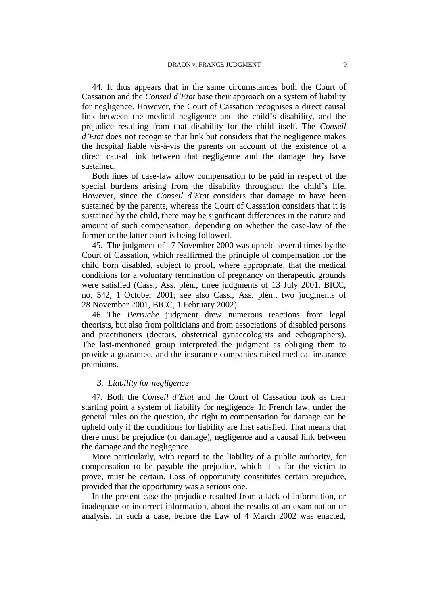44. It thus appears that in the same circumstances both the Court of Cassation and the *Conseil d'Etat* base their approach on a system of liability for negligence. However, the Court of Cassation recognises a direct causal link between the medical negligence and the child's disability, and the prejudice resulting from that disability for the child itself. The *Conseil d'Etat* does not recognise that link but considers that the negligence makes the hospital liable vis-à-vis the parents on account of the existence of a direct causal link between that negligence and the damage they have sustained.

Both lines of case-law allow compensation to be paid in respect of the special burdens arising from the disability throughout the child's life. However, since the *Conseil d'Etat* considers that damage to have been sustained by the parents, whereas the Court of Cassation considers that it is sustained by the child, there may be significant differences in the nature and amount of such compensation, depending on whether the case-law of the former or the latter court is being followed.

45. The judgment of 17 November 2000 was upheld several times by the Court of Cassation, which reaffirmed the principle of compensation for the child born disabled, subject to proof, where appropriate, that the medical conditions for a voluntary termination of pregnancy on therapeutic grounds were satisfied (Cass., Ass. plén., three judgments of 13 July 2001, BICC, no. 542, 1 October 2001; see also Cass., Ass. plén., two judgments of 28 November 2001, BICC, 1 February 2002).

46. The *Perruche* judgment drew numerous reactions from legal theorists, but also from politicians and from associations of disabled persons and practitioners (doctors, obstetrical gynaecologists and echographers). The last-mentioned group interpreted the judgment as obliging them to provide a guarantee, and the insurance companies raised medical insurance premiums.

### *3. Liability for negligence*

47. Both the *Conseil d'Etat* and the Court of Cassation took as their starting point a system of liability for negligence. In French law, under the general rules on the question, the right to compensation for damage can be upheld only if the conditions for liability are first satisfied. That means that there must be prejudice (or damage), negligence and a causal link between the damage and the negligence.

More particularly, with regard to the liability of a public authority, for compensation to be payable the prejudice, which it is for the victim to prove, must be certain. Loss of opportunity constitutes certain prejudice, provided that the opportunity was a serious one.

In the present case the prejudice resulted from a lack of information, or inadequate or incorrect information, about the results of an examination or analysis. In such a case, before the Law of 4 March 2002 was enacted,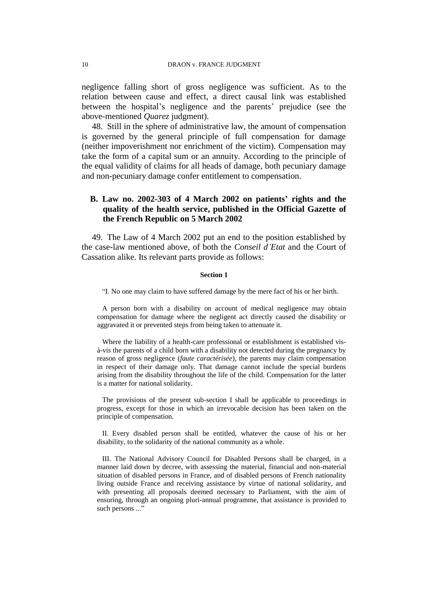negligence falling short of gross negligence was sufficient. As to the relation between cause and effect, a direct causal link was established between the hospital's negligence and the parents' prejudice (see the above-mentioned *Quarez* judgment).

48. Still in the sphere of administrative law, the amount of compensation is governed by the general principle of full compensation for damage (neither impoverishment nor enrichment of the victim). Compensation may take the form of a capital sum or an annuity. According to the principle of the equal validity of claims for all heads of damage, both pecuniary damage and non-pecuniary damage confer entitlement to compensation.

### **B. Law no. 2002-303 of 4 March 2002 on patients' rights and the quality of the health service, published in the Official Gazette of the French Republic on 5 March 2002**

49. The Law of 4 March 2002 put an end to the position established by the case-law mentioned above, of both the *Conseil d'Etat* and the Court of Cassation alike. Its relevant parts provide as follows:

#### **Section 1**

"I. No one may claim to have suffered damage by the mere fact of his or her birth.

A person born with a disability on account of medical negligence may obtain compensation for damage where the negligent act directly caused the disability or aggravated it or prevented steps from being taken to attenuate it.

Where the liability of a health-care professional or establishment is established visà-vis the parents of a child born with a disability not detected during the pregnancy by reason of gross negligence (*faute caractérisée*), the parents may claim compensation in respect of their damage only. That damage cannot include the special burdens arising from the disability throughout the life of the child. Compensation for the latter is a matter for national solidarity.

The provisions of the present sub-section I shall be applicable to proceedings in progress, except for those in which an irrevocable decision has been taken on the principle of compensation.

II. Every disabled person shall be entitled, whatever the cause of his or her disability, to the solidarity of the national community as a whole.

III. The National Advisory Council for Disabled Persons shall be charged, in a manner laid down by decree, with assessing the material, financial and non-material situation of disabled persons in France, and of disabled persons of French nationality living outside France and receiving assistance by virtue of national solidarity, and with presenting all proposals deemed necessary to Parliament, with the aim of ensuring, through an ongoing pluri-annual programme, that assistance is provided to such persons ..."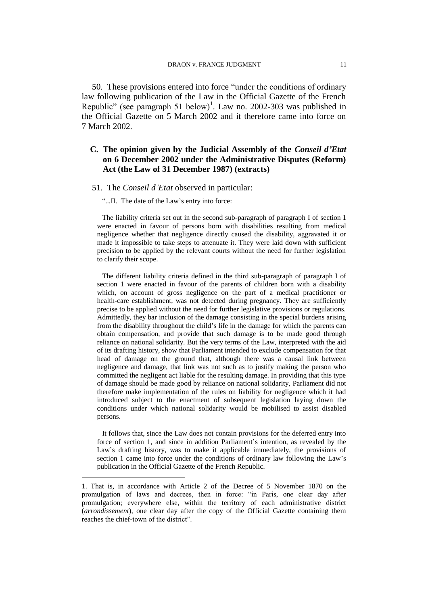50. These provisions entered into force "under the conditions of ordinary law following publication of the Law in the Official Gazette of the French Republic" (see paragraph 51 below)<sup>1</sup>. Law no. 2002-303 was published in the Official Gazette on 5 March 2002 and it therefore came into force on 7 March 2002.

### **C. The opinion given by the Judicial Assembly of the** *Conseil d'Etat* **on 6 December 2002 under the Administrative Disputes (Reform) Act (the Law of 31 December 1987) (extracts)**

#### 51. The *Conseil d'Etat* observed in particular:

"...II. The date of the Law's entry into force:

The liability criteria set out in the second sub-paragraph of paragraph I of section 1 were enacted in favour of persons born with disabilities resulting from medical negligence whether that negligence directly caused the disability, aggravated it or made it impossible to take steps to attenuate it. They were laid down with sufficient precision to be applied by the relevant courts without the need for further legislation to clarify their scope.

The different liability criteria defined in the third sub-paragraph of paragraph I of section 1 were enacted in favour of the parents of children born with a disability which, on account of gross negligence on the part of a medical practitioner or health-care establishment, was not detected during pregnancy. They are sufficiently precise to be applied without the need for further legislative provisions or regulations. Admittedly, they bar inclusion of the damage consisting in the special burdens arising from the disability throughout the child's life in the damage for which the parents can obtain compensation, and provide that such damage is to be made good through reliance on national solidarity. But the very terms of the Law, interpreted with the aid of its drafting history, show that Parliament intended to exclude compensation for that head of damage on the ground that, although there was a causal link between negligence and damage, that link was not such as to justify making the person who committed the negligent act liable for the resulting damage. In providing that this type of damage should be made good by reliance on national solidarity, Parliament did not therefore make implementation of the rules on liability for negligence which it had introduced subject to the enactment of subsequent legislation laying down the conditions under which national solidarity would be mobilised to assist disabled persons.

It follows that, since the Law does not contain provisions for the deferred entry into force of section 1, and since in addition Parliament's intention, as revealed by the Law's drafting history, was to make it applicable immediately, the provisions of section 1 came into force under the conditions of ordinary law following the Law's publication in the Official Gazette of the French Republic.

 $\overline{a}$ 

<sup>1.</sup> That is, in accordance with Article 2 of the Decree of 5 November 1870 on the promulgation of laws and decrees, then in force: "in Paris, one clear day after promulgation; everywhere else, within the territory of each administrative district (*arrondissement*), one clear day after the copy of the Official Gazette containing them reaches the chief-town of the district".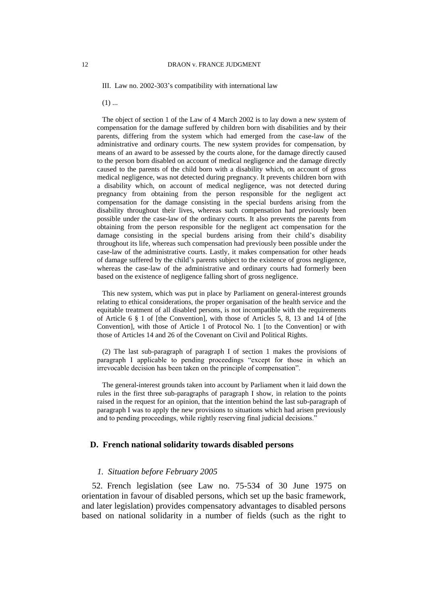III. Law no. 2002-303's compatibility with international law

 $(1)$  ...

The object of section 1 of the Law of 4 March 2002 is to lay down a new system of compensation for the damage suffered by children born with disabilities and by their parents, differing from the system which had emerged from the case-law of the administrative and ordinary courts. The new system provides for compensation, by means of an award to be assessed by the courts alone, for the damage directly caused to the person born disabled on account of medical negligence and the damage directly caused to the parents of the child born with a disability which, on account of gross medical negligence, was not detected during pregnancy. It prevents children born with a disability which, on account of medical negligence, was not detected during pregnancy from obtaining from the person responsible for the negligent act compensation for the damage consisting in the special burdens arising from the disability throughout their lives, whereas such compensation had previously been possible under the case-law of the ordinary courts. It also prevents the parents from obtaining from the person responsible for the negligent act compensation for the damage consisting in the special burdens arising from their child's disability throughout its life, whereas such compensation had previously been possible under the case-law of the administrative courts. Lastly, it makes compensation for other heads of damage suffered by the child's parents subject to the existence of gross negligence, whereas the case-law of the administrative and ordinary courts had formerly been based on the existence of negligence falling short of gross negligence.

This new system, which was put in place by Parliament on general-interest grounds relating to ethical considerations, the proper organisation of the health service and the equitable treatment of all disabled persons, is not incompatible with the requirements of Article 6 § 1 of [the Convention], with those of Articles 5, 8, 13 and 14 of [the Convention], with those of Article 1 of Protocol No. 1 [to the Convention] or with those of Articles 14 and 26 of the Covenant on Civil and Political Rights.

(2) The last sub-paragraph of paragraph I of section 1 makes the provisions of paragraph I applicable to pending proceedings "except for those in which an irrevocable decision has been taken on the principle of compensation".

The general-interest grounds taken into account by Parliament when it laid down the rules in the first three sub-paragraphs of paragraph I show, in relation to the points raised in the request for an opinion, that the intention behind the last sub-paragraph of paragraph I was to apply the new provisions to situations which had arisen previously and to pending proceedings, while rightly reserving final judicial decisions."

### **D. French national solidarity towards disabled persons**

#### *1. Situation before February 2005*

52. French legislation (see Law no. 75-534 of 30 June 1975 on orientation in favour of disabled persons, which set up the basic framework, and later legislation) provides compensatory advantages to disabled persons based on national solidarity in a number of fields (such as the right to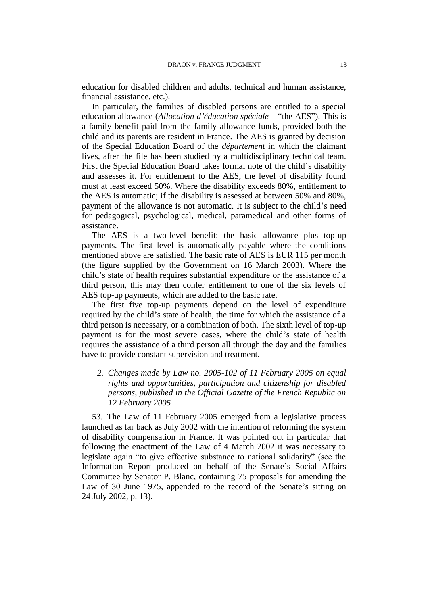education for disabled children and adults, technical and human assistance, financial assistance, etc.).

In particular, the families of disabled persons are entitled to a special education allowance (*Allocation d'éducation spéciale* – "the AES"). This is a family benefit paid from the family allowance funds, provided both the child and its parents are resident in France. The AES is granted by decision of the Special Education Board of the *département* in which the claimant lives, after the file has been studied by a multidisciplinary technical team. First the Special Education Board takes formal note of the child's disability and assesses it. For entitlement to the AES, the level of disability found must at least exceed 50%. Where the disability exceeds 80%, entitlement to the AES is automatic; if the disability is assessed at between 50% and 80%, payment of the allowance is not automatic. It is subject to the child's need for pedagogical, psychological, medical, paramedical and other forms of assistance.

The AES is a two-level benefit: the basic allowance plus top-up payments. The first level is automatically payable where the conditions mentioned above are satisfied. The basic rate of AES is EUR 115 per month (the figure supplied by the Government on 16 March 2003). Where the child's state of health requires substantial expenditure or the assistance of a third person, this may then confer entitlement to one of the six levels of AES top-up payments, which are added to the basic rate.

The first five top-up payments depend on the level of expenditure required by the child's state of health, the time for which the assistance of a third person is necessary, or a combination of both. The sixth level of top-up payment is for the most severe cases, where the child's state of health requires the assistance of a third person all through the day and the families have to provide constant supervision and treatment.

### *2. Changes made by Law no. 2005-102 of 11 February 2005 on equal rights and opportunities, participation and citizenship for disabled persons, published in the Official Gazette of the French Republic on 12 February 2005*

53. The Law of 11 February 2005 emerged from a legislative process launched as far back as July 2002 with the intention of reforming the system of disability compensation in France. It was pointed out in particular that following the enactment of the Law of 4 March 2002 it was necessary to legislate again "to give effective substance to national solidarity" (see the Information Report produced on behalf of the Senate's Social Affairs Committee by Senator P. Blanc, containing 75 proposals for amending the Law of 30 June 1975, appended to the record of the Senate's sitting on 24 July 2002, p. 13).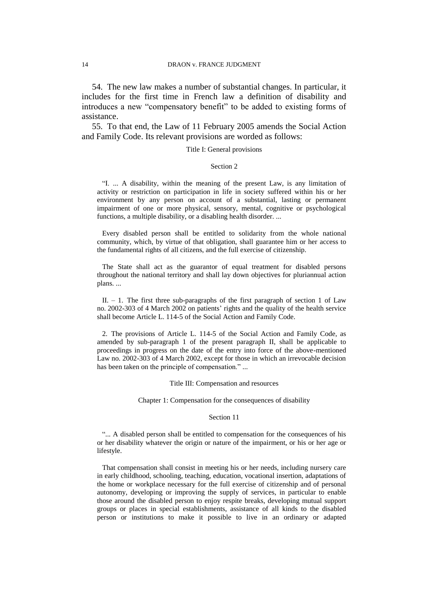54. The new law makes a number of substantial changes. In particular, it includes for the first time in French law a definition of disability and introduces a new "compensatory benefit" to be added to existing forms of assistance.

55. To that end, the Law of 11 February 2005 amends the Social Action and Family Code. Its relevant provisions are worded as follows:

### Title I: General provisions

#### Section 2

"I. ... A disability, within the meaning of the present Law, is any limitation of activity or restriction on participation in life in society suffered within his or her environment by any person on account of a substantial, lasting or permanent impairment of one or more physical, sensory, mental, cognitive or psychological functions, a multiple disability, or a disabling health disorder. ...

Every disabled person shall be entitled to solidarity from the whole national community, which, by virtue of that obligation, shall guarantee him or her access to the fundamental rights of all citizens, and the full exercise of citizenship.

The State shall act as the guarantor of equal treatment for disabled persons throughout the national territory and shall lay down objectives for pluriannual action plans. ...

II.  $-1$ . The first three sub-paragraphs of the first paragraph of section 1 of Law no. 2002-303 of 4 March 2002 on patients' rights and the quality of the health service shall become Article L. 114-5 of the Social Action and Family Code.

2. The provisions of Article L. 114-5 of the Social Action and Family Code, as amended by sub-paragraph 1 of the present paragraph II, shall be applicable to proceedings in progress on the date of the entry into force of the above-mentioned Law no. 2002-303 of 4 March 2002, except for those in which an irrevocable decision has been taken on the principle of compensation." ...

#### Title III: Compensation and resources

Chapter 1: Compensation for the consequences of disability

#### Section 11

"... A disabled person shall be entitled to compensation for the consequences of his or her disability whatever the origin or nature of the impairment, or his or her age or lifestyle.

That compensation shall consist in meeting his or her needs, including nursery care in early childhood, schooling, teaching, education, vocational insertion, adaptations of the home or workplace necessary for the full exercise of citizenship and of personal autonomy, developing or improving the supply of services, in particular to enable those around the disabled person to enjoy respite breaks, developing mutual support groups or places in special establishments, assistance of all kinds to the disabled person or institutions to make it possible to live in an ordinary or adapted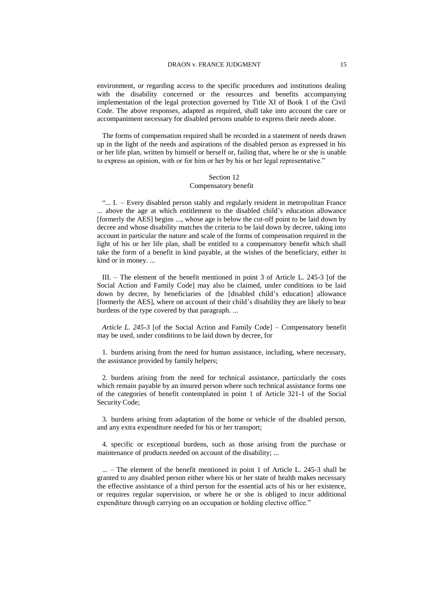#### DRAON v. FRANCE JUDGMENT 15

environment, or regarding access to the specific procedures and institutions dealing with the disability concerned or the resources and benefits accompanying implementation of the legal protection governed by Title XI of Book 1 of the Civil Code. The above responses, adapted as required, shall take into account the care or accompaniment necessary for disabled persons unable to express their needs alone.

The forms of compensation required shall be recorded in a statement of needs drawn up in the light of the needs and aspirations of the disabled person as expressed in his or her life plan, written by himself or herself or, failing that, where he or she is unable to express an opinion, with or for him or her by his or her legal representative."

#### Section 12 Compensatory benefit

"... I. – Every disabled person stably and regularly resident in metropolitan France ... above the age at which entitlement to the disabled child's education allowance [formerly the AES] begins ..., whose age is below the cut-off point to be laid down by decree and whose disability matches the criteria to be laid down by decree, taking into account in particular the nature and scale of the forms of compensation required in the light of his or her life plan, shall be entitled to a compensatory benefit which shall take the form of a benefit in kind payable, at the wishes of the beneficiary, either in kind or in money. ...

III. – The element of the benefit mentioned in point 3 of Article L. 245-3 [of the Social Action and Family Code] may also be claimed, under conditions to be laid down by decree, by beneficiaries of the [disabled child's education] allowance [formerly the AES], where on account of their child's disability they are likely to bear burdens of the type covered by that paragraph. ...

*Article L. 245-3* [of the Social Action and Family Code] – Compensatory benefit may be used, under conditions to be laid down by decree, for

1. burdens arising from the need for human assistance, including, where necessary, the assistance provided by family helpers;

2. burdens arising from the need for technical assistance, particularly the costs which remain payable by an insured person where such technical assistance forms one of the categories of benefit contemplated in point 1 of Article 321-1 of the Social Security Code;

3. burdens arising from adaptation of the home or vehicle of the disabled person, and any extra expenditure needed for his or her transport;

4. specific or exceptional burdens, such as those arising from the purchase or maintenance of products needed on account of the disability; ...

... – The element of the benefit mentioned in point 1 of Article L. 245-3 shall be granted to any disabled person either where his or her state of health makes necessary the effective assistance of a third person for the essential acts of his or her existence, or requires regular supervision, or where he or she is obliged to incur additional expenditure through carrying on an occupation or holding elective office."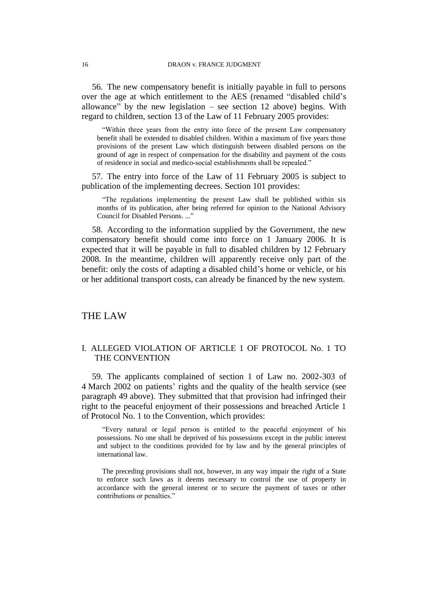56. The new compensatory benefit is initially payable in full to persons over the age at which entitlement to the AES (renamed "disabled child's allowance" by the new legislation  $-$  see section 12 above) begins. With regard to children, section 13 of the Law of 11 February 2005 provides:

"Within three years from the entry into force of the present Law compensatory benefit shall be extended to disabled children. Within a maximum of five years those provisions of the present Law which distinguish between disabled persons on the ground of age in respect of compensation for the disability and payment of the costs of residence in social and medico-social establishments shall be repealed."

57. The entry into force of the Law of 11 February 2005 is subject to publication of the implementing decrees. Section 101 provides:

"The regulations implementing the present Law shall be published within six months of its publication, after being referred for opinion to the National Advisory Council for Disabled Persons. ..."

58. According to the information supplied by the Government, the new compensatory benefit should come into force on 1 January 2006. It is expected that it will be payable in full to disabled children by 12 February 2008. In the meantime, children will apparently receive only part of the benefit: only the costs of adapting a disabled child's home or vehicle, or his or her additional transport costs, can already be financed by the new system.

### THE LAW

### I. ALLEGED VIOLATION OF ARTICLE 1 OF PROTOCOL No. 1 TO THE CONVENTION

59. The applicants complained of section 1 of Law no. 2002-303 of 4 March 2002 on patients' rights and the quality of the health service (see paragraph 49 above). They submitted that that provision had infringed their right to the peaceful enjoyment of their possessions and breached Article 1 of Protocol No. 1 to the Convention, which provides:

"Every natural or legal person is entitled to the peaceful enjoyment of his possessions. No one shall be deprived of his possessions except in the public interest and subject to the conditions provided for by law and by the general principles of international law.

The preceding provisions shall not, however, in any way impair the right of a State to enforce such laws as it deems necessary to control the use of property in accordance with the general interest or to secure the payment of taxes or other contributions or penalties."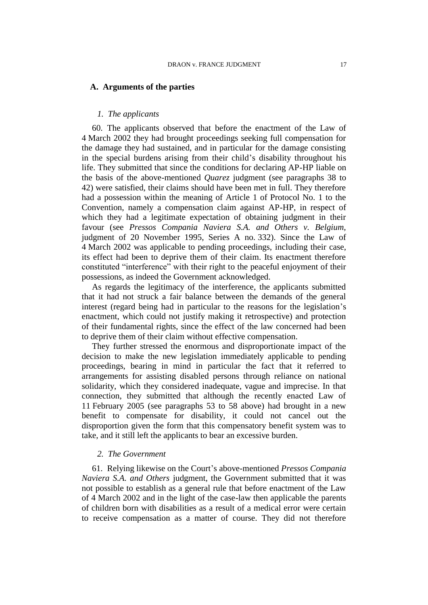#### **A. Arguments of the parties**

### *1. The applicants*

60. The applicants observed that before the enactment of the Law of 4 March 2002 they had brought proceedings seeking full compensation for the damage they had sustained, and in particular for the damage consisting in the special burdens arising from their child's disability throughout his life. They submitted that since the conditions for declaring AP-HP liable on the basis of the above-mentioned *Quarez* judgment (see paragraphs 38 to 42) were satisfied, their claims should have been met in full. They therefore had a possession within the meaning of Article 1 of Protocol No. 1 to the Convention, namely a compensation claim against AP-HP, in respect of which they had a legitimate expectation of obtaining judgment in their favour (see *Pressos Compania Naviera S.A. and Others v. Belgium,*  judgment of 20 November 1995, Series A no. 332). Since the Law of 4 March 2002 was applicable to pending proceedings, including their case, its effect had been to deprive them of their claim. Its enactment therefore constituted "interference" with their right to the peaceful enjoyment of their possessions, as indeed the Government acknowledged.

As regards the legitimacy of the interference, the applicants submitted that it had not struck a fair balance between the demands of the general interest (regard being had in particular to the reasons for the legislation's enactment, which could not justify making it retrospective) and protection of their fundamental rights, since the effect of the law concerned had been to deprive them of their claim without effective compensation.

They further stressed the enormous and disproportionate impact of the decision to make the new legislation immediately applicable to pending proceedings, bearing in mind in particular the fact that it referred to arrangements for assisting disabled persons through reliance on national solidarity, which they considered inadequate, vague and imprecise. In that connection, they submitted that although the recently enacted Law of 11 February 2005 (see paragraphs 53 to 58 above) had brought in a new benefit to compensate for disability, it could not cancel out the disproportion given the form that this compensatory benefit system was to take, and it still left the applicants to bear an excessive burden.

### *2. The Government*

61. Relying likewise on the Court's above-mentioned *Pressos Compania Naviera S.A. and Others* judgment, the Government submitted that it was not possible to establish as a general rule that before enactment of the Law of 4 March 2002 and in the light of the case-law then applicable the parents of children born with disabilities as a result of a medical error were certain to receive compensation as a matter of course. They did not therefore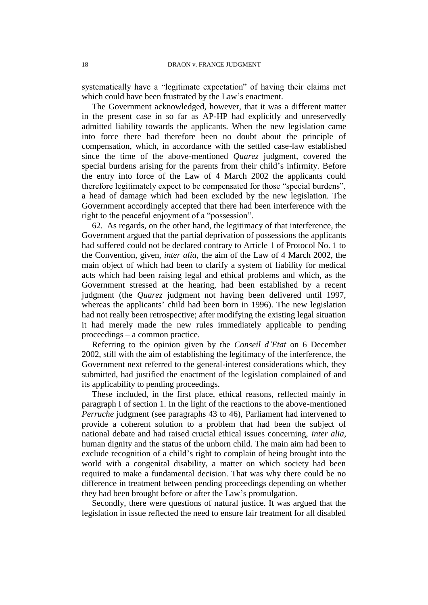systematically have a "legitimate expectation" of having their claims met which could have been frustrated by the Law's enactment.

The Government acknowledged, however, that it was a different matter in the present case in so far as AP-HP had explicitly and unreservedly admitted liability towards the applicants. When the new legislation came into force there had therefore been no doubt about the principle of compensation, which, in accordance with the settled case-law established since the time of the above-mentioned *Quarez* judgment, covered the special burdens arising for the parents from their child's infirmity. Before the entry into force of the Law of 4 March 2002 the applicants could therefore legitimately expect to be compensated for those "special burdens", a head of damage which had been excluded by the new legislation. The Government accordingly accepted that there had been interference with the right to the peaceful enjoyment of a "possession".

62. As regards, on the other hand, the legitimacy of that interference, the Government argued that the partial deprivation of possessions the applicants had suffered could not be declared contrary to Article 1 of Protocol No. 1 to the Convention, given, *inter alia*, the aim of the Law of 4 March 2002, the main object of which had been to clarify a system of liability for medical acts which had been raising legal and ethical problems and which, as the Government stressed at the hearing, had been established by a recent judgment (the *Quarez* judgment not having been delivered until 1997, whereas the applicants' child had been born in 1996). The new legislation had not really been retrospective; after modifying the existing legal situation it had merely made the new rules immediately applicable to pending proceedings – a common practice.

Referring to the opinion given by the *Conseil d'Etat* on 6 December 2002, still with the aim of establishing the legitimacy of the interference, the Government next referred to the general-interest considerations which, they submitted, had justified the enactment of the legislation complained of and its applicability to pending proceedings.

These included, in the first place, ethical reasons, reflected mainly in paragraph I of section 1. In the light of the reactions to the above-mentioned *Perruche* judgment (see paragraphs 43 to 46), Parliament had intervened to provide a coherent solution to a problem that had been the subject of national debate and had raised crucial ethical issues concerning, *inter alia*, human dignity and the status of the unborn child. The main aim had been to exclude recognition of a child's right to complain of being brought into the world with a congenital disability, a matter on which society had been required to make a fundamental decision. That was why there could be no difference in treatment between pending proceedings depending on whether they had been brought before or after the Law's promulgation.

Secondly, there were questions of natural justice. It was argued that the legislation in issue reflected the need to ensure fair treatment for all disabled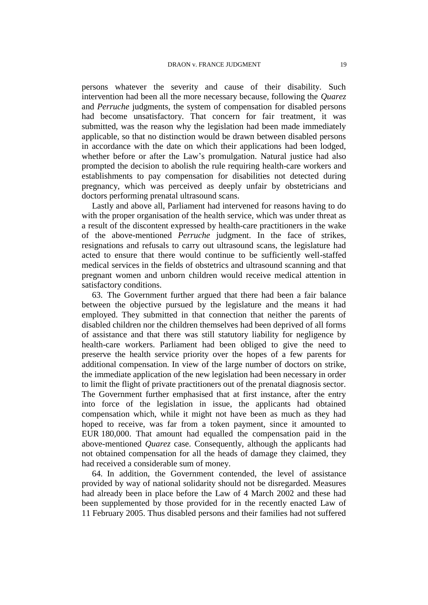persons whatever the severity and cause of their disability. Such intervention had been all the more necessary because, following the *Quarez*  and *Perruche* judgments, the system of compensation for disabled persons had become unsatisfactory. That concern for fair treatment, it was submitted, was the reason why the legislation had been made immediately applicable, so that no distinction would be drawn between disabled persons in accordance with the date on which their applications had been lodged, whether before or after the Law's promulgation. Natural justice had also prompted the decision to abolish the rule requiring health-care workers and establishments to pay compensation for disabilities not detected during pregnancy, which was perceived as deeply unfair by obstetricians and doctors performing prenatal ultrasound scans.

Lastly and above all, Parliament had intervened for reasons having to do with the proper organisation of the health service, which was under threat as a result of the discontent expressed by health-care practitioners in the wake of the above-mentioned *Perruche* judgment. In the face of strikes, resignations and refusals to carry out ultrasound scans, the legislature had acted to ensure that there would continue to be sufficiently well-staffed medical services in the fields of obstetrics and ultrasound scanning and that pregnant women and unborn children would receive medical attention in satisfactory conditions.

63. The Government further argued that there had been a fair balance between the objective pursued by the legislature and the means it had employed. They submitted in that connection that neither the parents of disabled children nor the children themselves had been deprived of all forms of assistance and that there was still statutory liability for negligence by health-care workers. Parliament had been obliged to give the need to preserve the health service priority over the hopes of a few parents for additional compensation. In view of the large number of doctors on strike, the immediate application of the new legislation had been necessary in order to limit the flight of private practitioners out of the prenatal diagnosis sector. The Government further emphasised that at first instance, after the entry into force of the legislation in issue, the applicants had obtained compensation which, while it might not have been as much as they had hoped to receive, was far from a token payment, since it amounted to EUR 180,000. That amount had equalled the compensation paid in the above-mentioned *Quarez* case. Consequently, although the applicants had not obtained compensation for all the heads of damage they claimed, they had received a considerable sum of money.

64. In addition, the Government contended, the level of assistance provided by way of national solidarity should not be disregarded. Measures had already been in place before the Law of 4 March 2002 and these had been supplemented by those provided for in the recently enacted Law of 11 February 2005. Thus disabled persons and their families had not suffered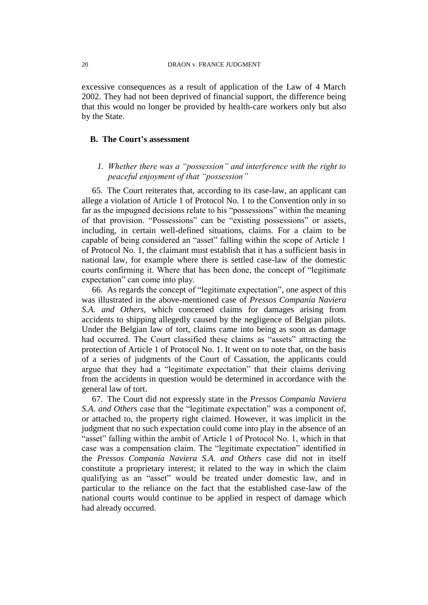excessive consequences as a result of application of the Law of 4 March 2002. They had not been deprived of financial support, the difference being that this would no longer be provided by health-care workers only but also by the State.

### **B. The Court's assessment**

### *1. Whether there was a "possession" and interference with the right to peaceful enjoyment of that "possession"*

65. The Court reiterates that, according to its case-law, an applicant can allege a violation of Article 1 of Protocol No. 1 to the Convention only in so far as the impugned decisions relate to his "possessions" within the meaning of that provision. "Possessions" can be "existing possessions" or assets, including, in certain well-defined situations, claims. For a claim to be capable of being considered an "asset" falling within the scope of Article 1 of Protocol No. 1, the claimant must establish that it has a sufficient basis in national law, for example where there is settled case-law of the domestic courts confirming it. Where that has been done, the concept of "legitimate expectation" can come into play.

66. As regards the concept of "legitimate expectation", one aspect of this was illustrated in the above-mentioned case of *Pressos Companía Naviera S.A. and Others*, which concerned claims for damages arising from accidents to shipping allegedly caused by the negligence of Belgian pilots. Under the Belgian law of tort, claims came into being as soon as damage had occurred. The Court classified these claims as "assets" attracting the protection of Article 1 of Protocol No. 1. It went on to note that, on the basis of a series of judgments of the Court of Cassation, the applicants could argue that they had a "legitimate expectation" that their claims deriving from the accidents in question would be determined in accordance with the general law of tort.

67. The Court did not expressly state in the *Pressos Companía Naviera S.A. and Others* case that the "legitimate expectation" was a component of, or attached to, the property right claimed. However, it was implicit in the judgment that no such expectation could come into play in the absence of an "asset" falling within the ambit of Article 1 of Protocol No. 1, which in that case was a compensation claim. The "legitimate expectation" identified in the *Pressos Companía Naviera S.A. and Others* case did not in itself constitute a proprietary interest; it related to the way in which the claim qualifying as an "asset" would be treated under domestic law, and in particular to the reliance on the fact that the established case-law of the national courts would continue to be applied in respect of damage which had already occurred.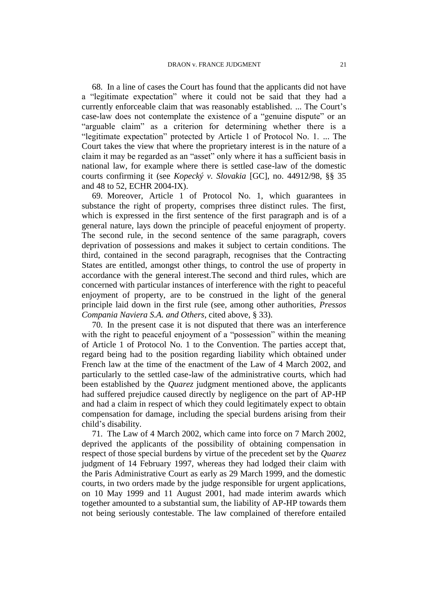68. In a line of cases the Court has found that the applicants did not have a "legitimate expectation" where it could not be said that they had a currently enforceable claim that was reasonably established. ... The Court's case-law does not contemplate the existence of a "genuine dispute" or an "arguable claim" as a criterion for determining whether there is a "legitimate expectation" protected by Article 1 of Protocol No. 1. ... The Court takes the view that where the proprietary interest is in the nature of a claim it may be regarded as an "asset" only where it has a sufficient basis in national law, for example where there is settled case-law of the domestic courts confirming it (see *Kopecký v. Slovakia* [GC], no. 44912/98, §§ 35 and 48 to 52, ECHR 2004-IX).

69. Moreover, Article 1 of Protocol No. 1, which guarantees in substance the right of property, comprises three distinct rules. The first, which is expressed in the first sentence of the first paragraph and is of a general nature, lays down the principle of peaceful enjoyment of property. The second rule, in the second sentence of the same paragraph, covers deprivation of possessions and makes it subject to certain conditions. The third, contained in the second paragraph, recognises that the Contracting States are entitled, amongst other things, to control the use of property in accordance with the general interest.The second and third rules, which are concerned with particular instances of interference with the right to peaceful enjoyment of property, are to be construed in the light of the general principle laid down in the first rule (see, among other authorities, *Pressos Compania Naviera S.A. and Others*, cited above, § 33).

70. In the present case it is not disputed that there was an interference with the right to peaceful enjoyment of a "possession" within the meaning of Article 1 of Protocol No. 1 to the Convention. The parties accept that, regard being had to the position regarding liability which obtained under French law at the time of the enactment of the Law of 4 March 2002, and particularly to the settled case-law of the administrative courts, which had been established by the *Quarez* judgment mentioned above, the applicants had suffered prejudice caused directly by negligence on the part of AP-HP and had a claim in respect of which they could legitimately expect to obtain compensation for damage, including the special burdens arising from their child's disability.

71. The Law of 4 March 2002, which came into force on 7 March 2002, deprived the applicants of the possibility of obtaining compensation in respect of those special burdens by virtue of the precedent set by the *Quarez* judgment of 14 February 1997, whereas they had lodged their claim with the Paris Administrative Court as early as 29 March 1999, and the domestic courts, in two orders made by the judge responsible for urgent applications, on 10 May 1999 and 11 August 2001, had made interim awards which together amounted to a substantial sum, the liability of AP-HP towards them not being seriously contestable. The law complained of therefore entailed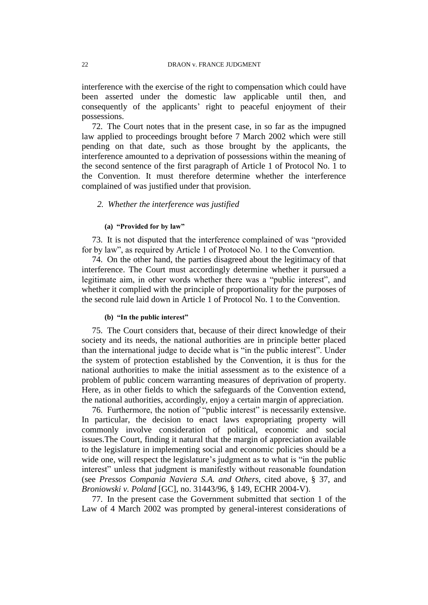interference with the exercise of the right to compensation which could have been asserted under the domestic law applicable until then, and consequently of the applicants' right to peaceful enjoyment of their possessions.

72. The Court notes that in the present case, in so far as the impugned law applied to proceedings brought before 7 March 2002 which were still pending on that date, such as those brought by the applicants, the interference amounted to a deprivation of possessions within the meaning of the second sentence of the first paragraph of Article 1 of Protocol No. 1 to the Convention. It must therefore determine whether the interference complained of was justified under that provision.

### *2. Whether the interference was justified*

### **(a) "Provided for by law"**

73. It is not disputed that the interference complained of was "provided for by law", as required by Article 1 of Protocol No. 1 to the Convention.

74. On the other hand, the parties disagreed about the legitimacy of that interference. The Court must accordingly determine whether it pursued a legitimate aim, in other words whether there was a "public interest", and whether it complied with the principle of proportionality for the purposes of the second rule laid down in Article 1 of Protocol No. 1 to the Convention.

#### **(b) "In the public interest"**

75. The Court considers that, because of their direct knowledge of their society and its needs, the national authorities are in principle better placed than the international judge to decide what is "in the public interest". Under the system of protection established by the Convention, it is thus for the national authorities to make the initial assessment as to the existence of a problem of public concern warranting measures of deprivation of property. Here, as in other fields to which the safeguards of the Convention extend, the national authorities, accordingly, enjoy a certain margin of appreciation.

76. Furthermore, the notion of "public interest" is necessarily extensive. In particular, the decision to enact laws expropriating property will commonly involve consideration of political, economic and social issues.The Court, finding it natural that the margin of appreciation available to the legislature in implementing social and economic policies should be a wide one, will respect the legislature's judgment as to what is "in the public interest" unless that judgment is manifestly without reasonable foundation (see *Pressos Compania Naviera S.A. and Others*, cited above, § 37, and *Broniowski v. Poland* [GC], no. 31443/96, § 149, ECHR 2004-V).

77. In the present case the Government submitted that section 1 of the Law of 4 March 2002 was prompted by general-interest considerations of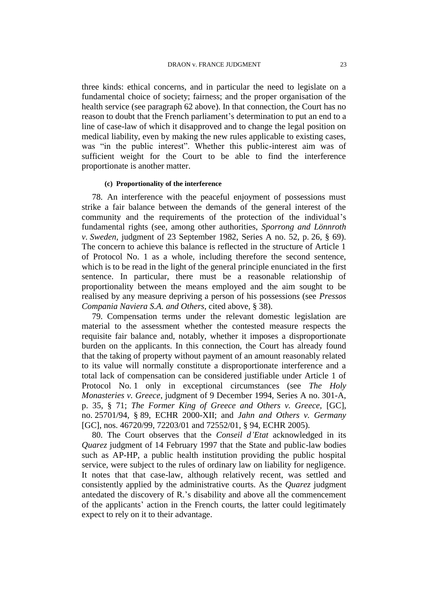three kinds: ethical concerns, and in particular the need to legislate on a fundamental choice of society; fairness; and the proper organisation of the health service (see paragraph 62 above). In that connection, the Court has no reason to doubt that the French parliament's determination to put an end to a line of case-law of which it disapproved and to change the legal position on medical liability, even by making the new rules applicable to existing cases, was "in the public interest". Whether this public-interest aim was of sufficient weight for the Court to be able to find the interference proportionate is another matter.

### **(c) Proportionality of the interference**

78. An interference with the peaceful enjoyment of possessions must strike a fair balance between the demands of the general interest of the community and the requirements of the protection of the individual's fundamental rights (see, among other authorities, *Sporrong and Lönnroth v. Sweden*, judgment of 23 September 1982, Series A no. 52, p. 26, § 69). The concern to achieve this balance is reflected in the structure of Article 1 of Protocol No. 1 as a whole, including therefore the second sentence, which is to be read in the light of the general principle enunciated in the first sentence. In particular, there must be a reasonable relationship of proportionality between the means employed and the aim sought to be realised by any measure depriving a person of his possessions (see *Pressos Compania Naviera S.A. and Others,* cited above, § 38).

79. Compensation terms under the relevant domestic legislation are material to the assessment whether the contested measure respects the requisite fair balance and, notably, whether it imposes a disproportionate burden on the applicants. In this connection, the Court has already found that the taking of property without payment of an amount reasonably related to its value will normally constitute a disproportionate interference and a total lack of compensation can be considered justifiable under Article 1 of Protocol No. 1 only in exceptional circumstances (see *The Holy Monasteries v. Greece*, judgment of 9 December 1994, Series A no. 301-A, p. 35, § 71; *The Former King of Greece and Others v. Greece,* [GC], no. 25701/94, § 89, ECHR 2000-XII; and *Jahn and Others v. Germany* [GC], nos. 46720/99, 72203/01 and 72552/01, § 94, ECHR 2005).

80. The Court observes that the *Conseil d'Etat* acknowledged in its *Quarez* judgment of 14 February 1997 that the State and public-law bodies such as AP-HP, a public health institution providing the public hospital service, were subject to the rules of ordinary law on liability for negligence. It notes that that case-law, although relatively recent, was settled and consistently applied by the administrative courts. As the *Quarez* judgment antedated the discovery of R.'s disability and above all the commencement of the applicants' action in the French courts, the latter could legitimately expect to rely on it to their advantage.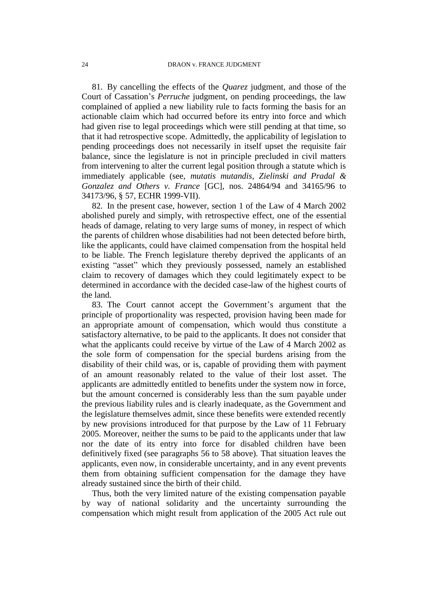81. By cancelling the effects of the *Quarez* judgment, and those of the Court of Cassation's *Perruche* judgment, on pending proceedings, the law complained of applied a new liability rule to facts forming the basis for an actionable claim which had occurred before its entry into force and which had given rise to legal proceedings which were still pending at that time, so that it had retrospective scope. Admittedly, the applicability of legislation to pending proceedings does not necessarily in itself upset the requisite fair balance, since the legislature is not in principle precluded in civil matters from intervening to alter the current legal position through a statute which is immediately applicable (see, *mutatis mutandis*, *Zielinski and Pradal & Gonzalez and Others v. France* [GC], nos. 24864/94 and 34165/96 to 34173/96, § 57, ECHR 1999-VII).

82. In the present case, however, section 1 of the Law of 4 March 2002 abolished purely and simply, with retrospective effect, one of the essential heads of damage, relating to very large sums of money, in respect of which the parents of children whose disabilities had not been detected before birth, like the applicants, could have claimed compensation from the hospital held to be liable. The French legislature thereby deprived the applicants of an existing "asset" which they previously possessed, namely an established claim to recovery of damages which they could legitimately expect to be determined in accordance with the decided case-law of the highest courts of the land.

83. The Court cannot accept the Government's argument that the principle of proportionality was respected, provision having been made for an appropriate amount of compensation, which would thus constitute a satisfactory alternative, to be paid to the applicants. It does not consider that what the applicants could receive by virtue of the Law of 4 March 2002 as the sole form of compensation for the special burdens arising from the disability of their child was, or is, capable of providing them with payment of an amount reasonably related to the value of their lost asset. The applicants are admittedly entitled to benefits under the system now in force, but the amount concerned is considerably less than the sum payable under the previous liability rules and is clearly inadequate, as the Government and the legislature themselves admit, since these benefits were extended recently by new provisions introduced for that purpose by the Law of 11 February 2005. Moreover, neither the sums to be paid to the applicants under that law nor the date of its entry into force for disabled children have been definitively fixed (see paragraphs 56 to 58 above). That situation leaves the applicants, even now, in considerable uncertainty, and in any event prevents them from obtaining sufficient compensation for the damage they have already sustained since the birth of their child.

Thus, both the very limited nature of the existing compensation payable by way of national solidarity and the uncertainty surrounding the compensation which might result from application of the 2005 Act rule out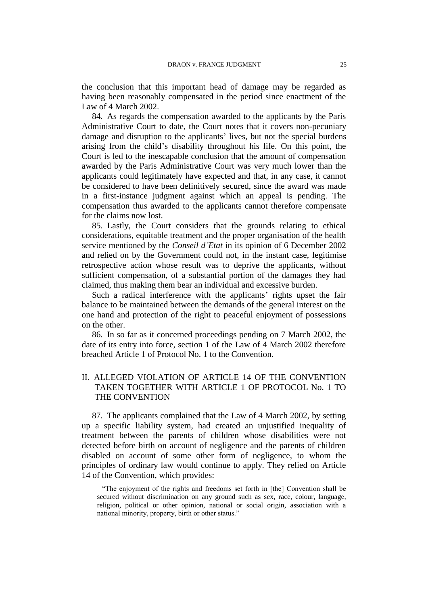the conclusion that this important head of damage may be regarded as having been reasonably compensated in the period since enactment of the Law of 4 March 2002.

84. As regards the compensation awarded to the applicants by the Paris Administrative Court to date, the Court notes that it covers non-pecuniary damage and disruption to the applicants' lives, but not the special burdens arising from the child's disability throughout his life. On this point, the Court is led to the inescapable conclusion that the amount of compensation awarded by the Paris Administrative Court was very much lower than the applicants could legitimately have expected and that, in any case, it cannot be considered to have been definitively secured, since the award was made in a first-instance judgment against which an appeal is pending. The compensation thus awarded to the applicants cannot therefore compensate for the claims now lost.

85. Lastly, the Court considers that the grounds relating to ethical considerations, equitable treatment and the proper organisation of the health service mentioned by the *Conseil d'Etat* in its opinion of 6 December 2002 and relied on by the Government could not, in the instant case, legitimise retrospective action whose result was to deprive the applicants, without sufficient compensation, of a substantial portion of the damages they had claimed, thus making them bear an individual and excessive burden.

Such a radical interference with the applicants' rights upset the fair balance to be maintained between the demands of the general interest on the one hand and protection of the right to peaceful enjoyment of possessions on the other.

86. In so far as it concerned proceedings pending on 7 March 2002, the date of its entry into force, section 1 of the Law of 4 March 2002 therefore breached Article 1 of Protocol No. 1 to the Convention.

### II. ALLEGED VIOLATION OF ARTICLE 14 OF THE CONVENTION TAKEN TOGETHER WITH ARTICLE 1 OF PROTOCOL No. 1 TO THE CONVENTION

87. The applicants complained that the Law of 4 March 2002, by setting up a specific liability system, had created an unjustified inequality of treatment between the parents of children whose disabilities were not detected before birth on account of negligence and the parents of children disabled on account of some other form of negligence, to whom the principles of ordinary law would continue to apply. They relied on Article 14 of the Convention, which provides:

"The enjoyment of the rights and freedoms set forth in [the] Convention shall be secured without discrimination on any ground such as sex, race, colour, language, religion, political or other opinion, national or social origin, association with a national minority, property, birth or other status."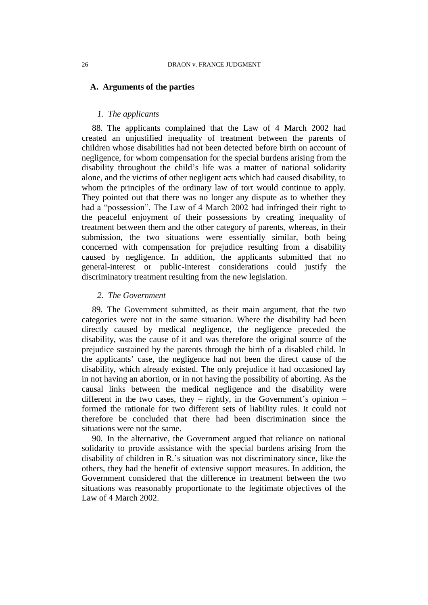### **A. Arguments of the parties**

### *1. The applicants*

88. The applicants complained that the Law of 4 March 2002 had created an unjustified inequality of treatment between the parents of children whose disabilities had not been detected before birth on account of negligence, for whom compensation for the special burdens arising from the disability throughout the child's life was a matter of national solidarity alone, and the victims of other negligent acts which had caused disability, to whom the principles of the ordinary law of tort would continue to apply. They pointed out that there was no longer any dispute as to whether they had a "possession". The Law of 4 March 2002 had infringed their right to the peaceful enjoyment of their possessions by creating inequality of treatment between them and the other category of parents, whereas, in their submission, the two situations were essentially similar, both being concerned with compensation for prejudice resulting from a disability caused by negligence. In addition, the applicants submitted that no general-interest or public-interest considerations could justify the discriminatory treatment resulting from the new legislation.

#### *2. The Government*

89. The Government submitted, as their main argument, that the two categories were not in the same situation. Where the disability had been directly caused by medical negligence, the negligence preceded the disability, was the cause of it and was therefore the original source of the prejudice sustained by the parents through the birth of a disabled child. In the applicants' case, the negligence had not been the direct cause of the disability, which already existed. The only prejudice it had occasioned lay in not having an abortion, or in not having the possibility of aborting. As the causal links between the medical negligence and the disability were different in the two cases, they – rightly, in the Government's opinion – formed the rationale for two different sets of liability rules. It could not therefore be concluded that there had been discrimination since the situations were not the same.

90. In the alternative, the Government argued that reliance on national solidarity to provide assistance with the special burdens arising from the disability of children in R.'s situation was not discriminatory since, like the others, they had the benefit of extensive support measures. In addition, the Government considered that the difference in treatment between the two situations was reasonably proportionate to the legitimate objectives of the Law of 4 March 2002.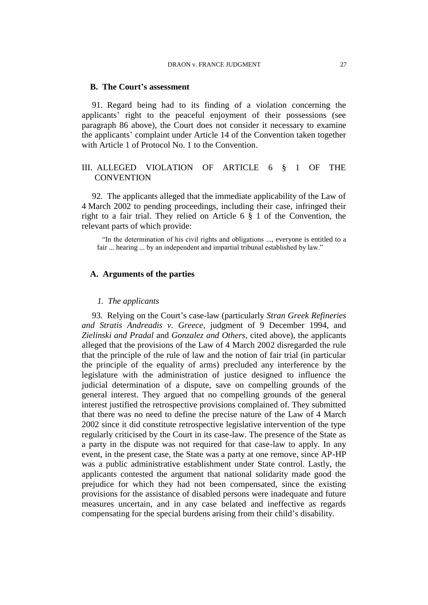#### **B. The Court's assessment**

91. Regard being had to its finding of a violation concerning the applicants' right to the peaceful enjoyment of their possessions (see paragraph 86 above), the Court does not consider it necessary to examine the applicants' complaint under Article 14 of the Convention taken together with Article 1 of Protocol No. 1 to the Convention.

### III. ALLEGED VIOLATION OF ARTICLE 6 § 1 OF THE **CONVENTION**

92. The applicants alleged that the immediate applicability of the Law of 4 March 2002 to pending proceedings, including their case, infringed their right to a fair trial. They relied on Article 6 § 1 of the Convention, the relevant parts of which provide:

"In the determination of his civil rights and obligations ..., everyone is entitled to a fair ... hearing ... by an independent and impartial tribunal established by law."

### **A. Arguments of the parties**

#### *1. The applicants*

93. Relying on the Court's case-law (particularly *Stran Greek Refineries and Stratis Andreadis v. Greece*, judgment of 9 December 1994, and *Zielinski and Pradal* and *Gonzalez and Others*, cited above), the applicants alleged that the provisions of the Law of 4 March 2002 disregarded the rule that the principle of the rule of law and the notion of fair trial (in particular the principle of the equality of arms) precluded any interference by the legislature with the administration of justice designed to influence the judicial determination of a dispute, save on compelling grounds of the general interest. They argued that no compelling grounds of the general interest justified the retrospective provisions complained of. They submitted that there was no need to define the precise nature of the Law of 4 March 2002 since it did constitute retrospective legislative intervention of the type regularly criticised by the Court in its case-law. The presence of the State as a party in the dispute was not required for that case-law to apply. In any event, in the present case, the State was a party at one remove, since AP-HP was a public administrative establishment under State control. Lastly, the applicants contested the argument that national solidarity made good the prejudice for which they had not been compensated, since the existing provisions for the assistance of disabled persons were inadequate and future measures uncertain, and in any case belated and ineffective as regards compensating for the special burdens arising from their child's disability.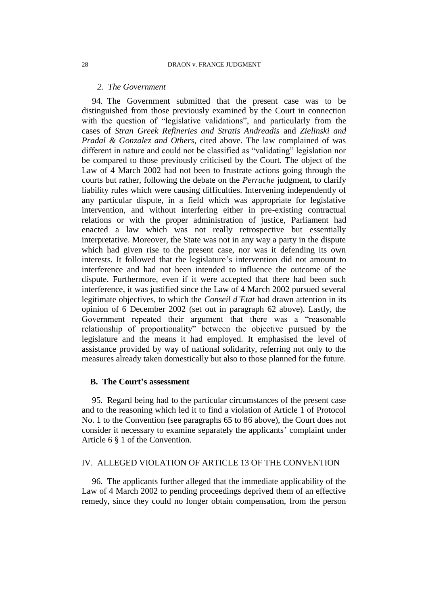### *2. The Government*

94. The Government submitted that the present case was to be distinguished from those previously examined by the Court in connection with the question of "legislative validations", and particularly from the cases of *Stran Greek Refineries and Stratis Andreadis* and *Zielinski and Pradal & Gonzalez and Others*, cited above. The law complained of was different in nature and could not be classified as "validating" legislation nor be compared to those previously criticised by the Court. The object of the Law of 4 March 2002 had not been to frustrate actions going through the courts but rather, following the debate on the *Perruche* judgment, to clarify liability rules which were causing difficulties. Intervening independently of any particular dispute, in a field which was appropriate for legislative intervention, and without interfering either in pre-existing contractual relations or with the proper administration of justice, Parliament had enacted a law which was not really retrospective but essentially interpretative. Moreover, the State was not in any way a party in the dispute which had given rise to the present case, nor was it defending its own interests. It followed that the legislature's intervention did not amount to interference and had not been intended to influence the outcome of the dispute. Furthermore, even if it were accepted that there had been such interference, it was justified since the Law of 4 March 2002 pursued several legitimate objectives, to which the *Conseil d'Etat* had drawn attention in its opinion of 6 December 2002 (set out in paragraph 62 above). Lastly, the Government repeated their argument that there was a "reasonable relationship of proportionality" between the objective pursued by the legislature and the means it had employed. It emphasised the level of assistance provided by way of national solidarity, referring not only to the measures already taken domestically but also to those planned for the future.

### **B. The Court's assessment**

95. Regard being had to the particular circumstances of the present case and to the reasoning which led it to find a violation of Article 1 of Protocol No. 1 to the Convention (see paragraphs 65 to 86 above), the Court does not consider it necessary to examine separately the applicants' complaint under Article 6 § 1 of the Convention.

### IV. ALLEGED VIOLATION OF ARTICLE 13 OF THE CONVENTION

96. The applicants further alleged that the immediate applicability of the Law of 4 March 2002 to pending proceedings deprived them of an effective remedy, since they could no longer obtain compensation, from the person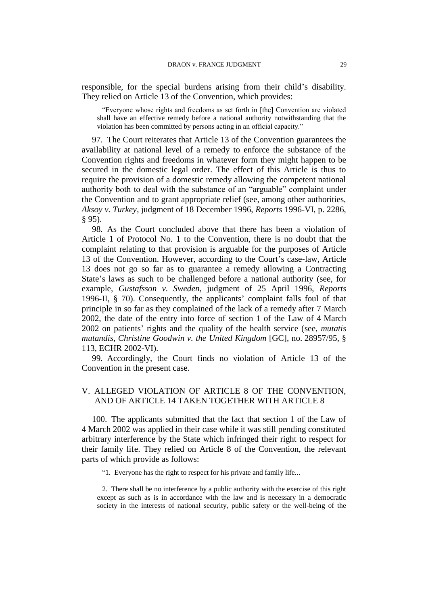responsible, for the special burdens arising from their child's disability. They relied on Article 13 of the Convention, which provides:

"Everyone whose rights and freedoms as set forth in [the] Convention are violated shall have an effective remedy before a national authority notwithstanding that the violation has been committed by persons acting in an official capacity."

97. The Court reiterates that Article 13 of the Convention guarantees the availability at national level of a remedy to enforce the substance of the Convention rights and freedoms in whatever form they might happen to be secured in the domestic legal order. The effect of this Article is thus to require the provision of a domestic remedy allowing the competent national authority both to deal with the substance of an "arguable" complaint under the Convention and to grant appropriate relief (see, among other authorities, *Aksoy v. Turkey*, judgment of 18 December 1996, *Reports* 1996-VI, p. 2286, § 95).

98. As the Court concluded above that there has been a violation of Article 1 of Protocol No. 1 to the Convention, there is no doubt that the complaint relating to that provision is arguable for the purposes of Article 13 of the Convention. However, according to the Court's case-law, Article 13 does not go so far as to guarantee a remedy allowing a Contracting State's laws as such to be challenged before a national authority (see, for example, *Gustafsson v. Sweden*, judgment of 25 April 1996, *Reports*  1996-II, § 70). Consequently, the applicants' complaint falls foul of that principle in so far as they complained of the lack of a remedy after 7 March 2002, the date of the entry into force of section 1 of the Law of 4 March 2002 on patients' rights and the quality of the health service (see, *mutatis mutandis*, *Christine Goodwin v. the United Kingdom* [GC], no. 28957/95, § 113, ECHR 2002-VI).

99. Accordingly, the Court finds no violation of Article 13 of the Convention in the present case.

### V. ALLEGED VIOLATION OF ARTICLE 8 OF THE CONVENTION, AND OF ARTICLE 14 TAKEN TOGETHER WITH ARTICLE 8

100. The applicants submitted that the fact that section 1 of the Law of 4 March 2002 was applied in their case while it was still pending constituted arbitrary interference by the State which infringed their right to respect for their family life. They relied on Article 8 of the Convention, the relevant parts of which provide as follows:

"1. Everyone has the right to respect for his private and family life...

2. There shall be no interference by a public authority with the exercise of this right except as such as is in accordance with the law and is necessary in a democratic society in the interests of national security, public safety or the well-being of the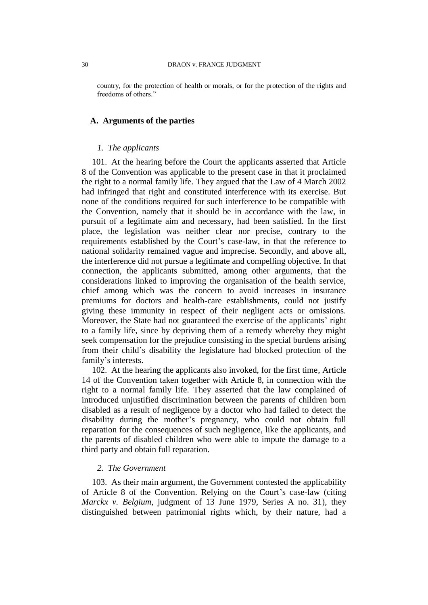country, for the protection of health or morals, or for the protection of the rights and freedoms of others."

#### **A. Arguments of the parties**

### *1. The applicants*

101. At the hearing before the Court the applicants asserted that Article 8 of the Convention was applicable to the present case in that it proclaimed the right to a normal family life. They argued that the Law of 4 March 2002 had infringed that right and constituted interference with its exercise. But none of the conditions required for such interference to be compatible with the Convention, namely that it should be in accordance with the law, in pursuit of a legitimate aim and necessary, had been satisfied. In the first place, the legislation was neither clear nor precise, contrary to the requirements established by the Court's case-law, in that the reference to national solidarity remained vague and imprecise. Secondly, and above all, the interference did not pursue a legitimate and compelling objective. In that connection, the applicants submitted, among other arguments, that the considerations linked to improving the organisation of the health service, chief among which was the concern to avoid increases in insurance premiums for doctors and health-care establishments, could not justify giving these immunity in respect of their negligent acts or omissions. Moreover, the State had not guaranteed the exercise of the applicants' right to a family life, since by depriving them of a remedy whereby they might seek compensation for the prejudice consisting in the special burdens arising from their child's disability the legislature had blocked protection of the family's interests.

102. At the hearing the applicants also invoked, for the first time, Article 14 of the Convention taken together with Article 8, in connection with the right to a normal family life. They asserted that the law complained of introduced unjustified discrimination between the parents of children born disabled as a result of negligence by a doctor who had failed to detect the disability during the mother's pregnancy, who could not obtain full reparation for the consequences of such negligence, like the applicants, and the parents of disabled children who were able to impute the damage to a third party and obtain full reparation.

### *2. The Government*

103. As their main argument, the Government contested the applicability of Article 8 of the Convention. Relying on the Court's case-law (citing *Marckx v. Belgium*, judgment of 13 June 1979, Series A no. 31), they distinguished between patrimonial rights which, by their nature, had a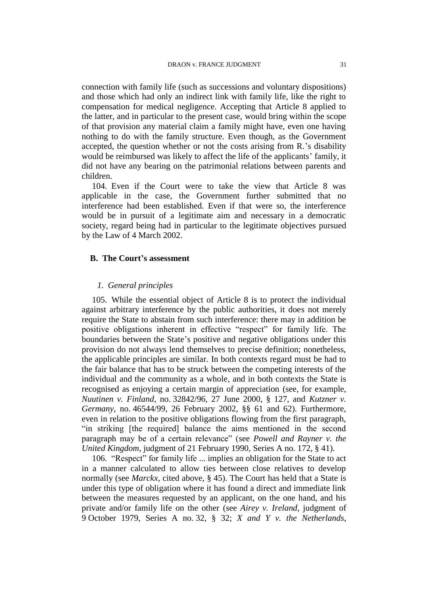connection with family life (such as successions and voluntary dispositions) and those which had only an indirect link with family life, like the right to compensation for medical negligence. Accepting that Article 8 applied to the latter, and in particular to the present case, would bring within the scope of that provision any material claim a family might have, even one having nothing to do with the family structure. Even though, as the Government accepted, the question whether or not the costs arising from R.'s disability would be reimbursed was likely to affect the life of the applicants' family, it did not have any bearing on the patrimonial relations between parents and children.

104. Even if the Court were to take the view that Article 8 was applicable in the case, the Government further submitted that no interference had been established. Even if that were so, the interference would be in pursuit of a legitimate aim and necessary in a democratic society, regard being had in particular to the legitimate objectives pursued by the Law of 4 March 2002.

### **B. The Court's assessment**

### *1. General principles*

105. While the essential object of Article 8 is to protect the individual against arbitrary interference by the public authorities, it does not merely require the State to abstain from such interference: there may in addition be positive obligations inherent in effective "respect" for family life. The boundaries between the State's positive and negative obligations under this provision do not always lend themselves to precise definition; nonetheless, the applicable principles are similar. In both contexts regard must be had to the fair balance that has to be struck between the competing interests of the individual and the community as a whole, and in both contexts the State is recognised as enjoying a certain margin of appreciation (see, for example, *Nuutinen v. Finland*, no. 32842/96, 27 June 2000, § 127, and *Kutzner v. Germany*, no. 46544/99, 26 February 2002, §§ 61 and 62). Furthermore, even in relation to the positive obligations flowing from the first paragraph, "in striking [the required] balance the aims mentioned in the second paragraph may be of a certain relevance" (see *Powell and Rayner v. the United Kingdom*, judgment of 21 February 1990, Series A no. 172, § 41).

106. "Respect" for family life ... implies an obligation for the State to act in a manner calculated to allow ties between close relatives to develop normally (see *Marckx*, cited above, § 45). The Court has held that a State is under this type of obligation where it has found a direct and immediate link between the measures requested by an applicant, on the one hand, and his private and/or family life on the other (see *Airey v. Ireland*, judgment of 9 October 1979, Series A no. 32, § 32; *X and Y v. the Netherlands*,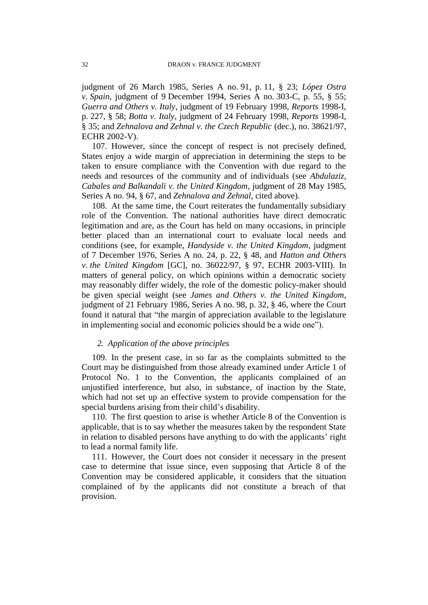judgment of 26 March 1985, Series A no. 91, p. 11, § 23; *López Ostra v. Spain*, judgment of 9 December 1994, Series A no. 303-C, p. 55, § 55; *Guerra and Others v. Italy*, judgment of 19 February 1998, *Reports* 1998-I, p. 227, § 58; *Botta v. Italy*, judgment of 24 February 1998, *Reports* 1998-I, § 35; and *Zehnalova and Zehnal v. the Czech Republic* (dec.), no. 38621/97, ECHR 2002-V).

107. However, since the concept of respect is not precisely defined, States enjoy a wide margin of appreciation in determining the steps to be taken to ensure compliance with the Convention with due regard to the needs and resources of the community and of individuals (see *Abdulaziz, Cabales and Balkandali v. the United Kingdom*, judgment of 28 May 1985, Series A no. 94, § 67, and *Zehnalova and Zehnal*, cited above).

108. At the same time, the Court reiterates the fundamentally subsidiary role of the Convention. The national authorities have direct democratic legitimation and are, as the Court has held on many occasions, in principle better placed than an international court to evaluate local needs and conditions (see, for example, *Handyside v. the United Kingdom*, judgment of 7 December 1976, Series A no. 24, p. 22, § 48, and *Hatton and Others v. the United Kingdom* [GC], no. 36022/97, § 97, ECHR 2003-VIII). In matters of general policy, on which opinions within a democratic society may reasonably differ widely, the role of the domestic policy-maker should be given special weight (see *James and Others v. the United Kingdom*, judgment of 21 February 1986, Series A no. 98, p. 32, § 46, where the Court found it natural that "the margin of appreciation available to the legislature in implementing social and economic policies should be a wide one").

### *2. Application of the above principles*

109. In the present case, in so far as the complaints submitted to the Court may be distinguished from those already examined under Article 1 of Protocol No. 1 to the Convention, the applicants complained of an unjustified interference, but also, in substance, of inaction by the State, which had not set up an effective system to provide compensation for the special burdens arising from their child's disability.

110. The first question to arise is whether Article 8 of the Convention is applicable, that is to say whether the measures taken by the respondent State in relation to disabled persons have anything to do with the applicants' right to lead a normal family life.

111. However, the Court does not consider it necessary in the present case to determine that issue since, even supposing that Article 8 of the Convention may be considered applicable, it considers that the situation complained of by the applicants did not constitute a breach of that provision.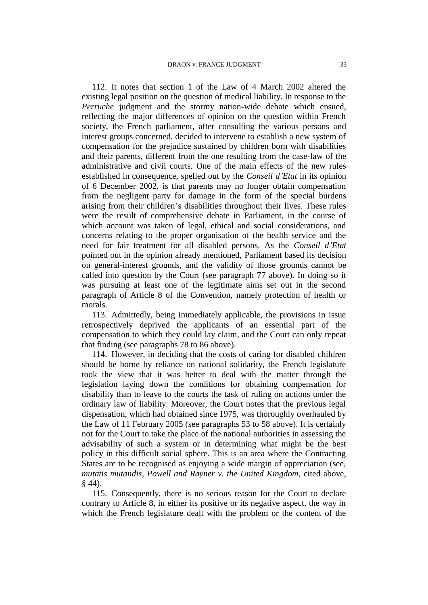112. It notes that section 1 of the Law of 4 March 2002 altered the existing legal position on the question of medical liability. In response to the *Perruche* judgment and the stormy nation-wide debate which ensued, reflecting the major differences of opinion on the question within French society, the French parliament, after consulting the various persons and interest groups concerned, decided to intervene to establish a new system of compensation for the prejudice sustained by children born with disabilities and their parents, different from the one resulting from the case-law of the administrative and civil courts. One of the main effects of the new rules established in consequence, spelled out by the *Conseil d'Etat* in its opinion of 6 December 2002, is that parents may no longer obtain compensation from the negligent party for damage in the form of the special burdens arising from their children's disabilities throughout their lives. These rules were the result of comprehensive debate in Parliament, in the course of which account was taken of legal, ethical and social considerations, and concerns relating to the proper organisation of the health service and the need for fair treatment for all disabled persons. As the *Conseil d'Etat* pointed out in the opinion already mentioned, Parliament based its decision on general-interest grounds, and the validity of those grounds cannot be called into question by the Court (see paragraph 77 above). In doing so it was pursuing at least one of the legitimate aims set out in the second paragraph of Article 8 of the Convention, namely protection of health or morals.

113. Admittedly, being immediately applicable, the provisions in issue retrospectively deprived the applicants of an essential part of the compensation to which they could lay claim, and the Court can only repeat that finding (see paragraphs 78 to 86 above).

114. However, in deciding that the costs of caring for disabled children should be borne by reliance on national solidarity, the French legislature took the view that it was better to deal with the matter through the legislation laying down the conditions for obtaining compensation for disability than to leave to the courts the task of ruling on actions under the ordinary law of liability. Moreover, the Court notes that the previous legal dispensation, which had obtained since 1975, was thoroughly overhauled by the Law of 11 February 2005 (see paragraphs 53 to 58 above). It is certainly not for the Court to take the place of the national authorities in assessing the advisability of such a system or in determining what might be the best policy in this difficult social sphere. This is an area where the Contracting States are to be recognised as enjoying a wide margin of appreciation (see, *mutatis mutandis*, *Powell and Rayner v. the United Kingdom*, cited above, § 44).

115. Consequently, there is no serious reason for the Court to declare contrary to Article 8, in either its positive or its negative aspect, the way in which the French legislature dealt with the problem or the content of the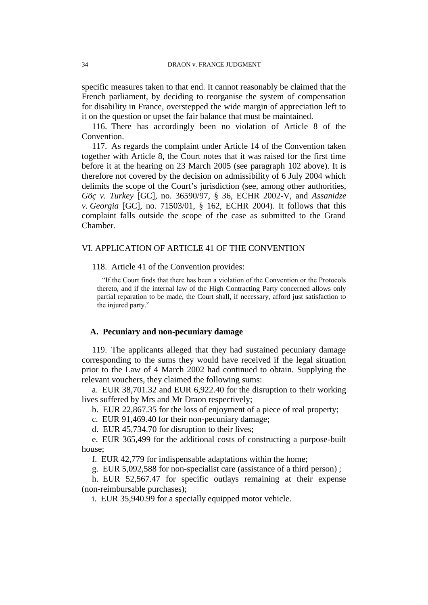specific measures taken to that end. It cannot reasonably be claimed that the French parliament, by deciding to reorganise the system of compensation for disability in France, overstepped the wide margin of appreciation left to it on the question or upset the fair balance that must be maintained.

116. There has accordingly been no violation of Article 8 of the Convention.

117. As regards the complaint under Article 14 of the Convention taken together with Article 8, the Court notes that it was raised for the first time before it at the hearing on 23 March 2005 (see paragraph 102 above). It is therefore not covered by the decision on admissibility of 6 July 2004 which delimits the scope of the Court's jurisdiction (see, among other authorities, *Göç v. Turkey* [GC], no. 36590/97, § 36, ECHR 2002-V, and *Assanidze v. Georgia* [GC], no. 71503/01, § 162, ECHR 2004). It follows that this complaint falls outside the scope of the case as submitted to the Grand Chamber.

### VI. APPLICATION OF ARTICLE 41 OF THE CONVENTION

118. Article 41 of the Convention provides:

"If the Court finds that there has been a violation of the Convention or the Protocols thereto, and if the internal law of the High Contracting Party concerned allows only partial reparation to be made, the Court shall, if necessary, afford just satisfaction to the injured party."

### **A. Pecuniary and non-pecuniary damage**

119. The applicants alleged that they had sustained pecuniary damage corresponding to the sums they would have received if the legal situation prior to the Law of 4 March 2002 had continued to obtain. Supplying the relevant vouchers, they claimed the following sums:

a. EUR 38,701.32 and EUR 6,922.40 for the disruption to their working lives suffered by Mrs and Mr Draon respectively;

b. EUR 22,867.35 for the loss of enjoyment of a piece of real property;

c. EUR 91,469.40 for their non-pecuniary damage;

d. EUR 45,734.70 for disruption to their lives;

e. EUR 365,499 for the additional costs of constructing a purpose-built house;

f. EUR 42,779 for indispensable adaptations within the home;

g. EUR 5,092,588 for non-specialist care (assistance of a third person) ;

h. EUR 52,567.47 for specific outlays remaining at their expense (non-reimbursable purchases);

i. EUR 35,940.99 for a specially equipped motor vehicle.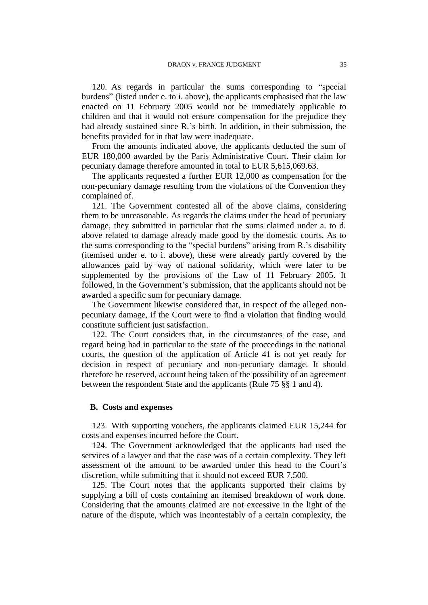120. As regards in particular the sums corresponding to "special burdens" (listed under e. to i. above), the applicants emphasised that the law enacted on 11 February 2005 would not be immediately applicable to children and that it would not ensure compensation for the prejudice they had already sustained since R.'s birth. In addition, in their submission, the benefits provided for in that law were inadequate.

From the amounts indicated above, the applicants deducted the sum of EUR 180,000 awarded by the Paris Administrative Court. Their claim for pecuniary damage therefore amounted in total to EUR 5,615,069.63.

The applicants requested a further EUR 12,000 as compensation for the non-pecuniary damage resulting from the violations of the Convention they complained of.

121. The Government contested all of the above claims, considering them to be unreasonable. As regards the claims under the head of pecuniary damage, they submitted in particular that the sums claimed under a. to d. above related to damage already made good by the domestic courts. As to the sums corresponding to the "special burdens" arising from R.'s disability (itemised under e. to i. above), these were already partly covered by the allowances paid by way of national solidarity, which were later to be supplemented by the provisions of the Law of 11 February 2005. It followed, in the Government's submission, that the applicants should not be awarded a specific sum for pecuniary damage.

The Government likewise considered that, in respect of the alleged nonpecuniary damage, if the Court were to find a violation that finding would constitute sufficient just satisfaction.

122. The Court considers that, in the circumstances of the case, and regard being had in particular to the state of the proceedings in the national courts, the question of the application of Article 41 is not yet ready for decision in respect of pecuniary and non-pecuniary damage. It should therefore be reserved, account being taken of the possibility of an agreement between the respondent State and the applicants (Rule 75 §§ 1 and 4).

#### **B. Costs and expenses**

123. With supporting vouchers, the applicants claimed EUR 15,244 for costs and expenses incurred before the Court.

124. The Government acknowledged that the applicants had used the services of a lawyer and that the case was of a certain complexity. They left assessment of the amount to be awarded under this head to the Court's discretion, while submitting that it should not exceed EUR 7,500.

125. The Court notes that the applicants supported their claims by supplying a bill of costs containing an itemised breakdown of work done. Considering that the amounts claimed are not excessive in the light of the nature of the dispute, which was incontestably of a certain complexity, the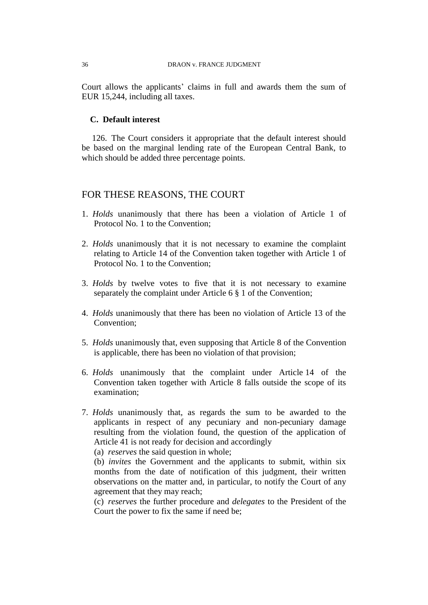Court allows the applicants' claims in full and awards them the sum of EUR 15,244, including all taxes.

### **C. Default interest**

126. The Court considers it appropriate that the default interest should be based on the marginal lending rate of the European Central Bank, to which should be added three percentage points.

### FOR THESE REASONS, THE COURT

- 1. *Holds* unanimously that there has been a violation of Article 1 of Protocol No. 1 to the Convention;
- 2. *Holds* unanimously that it is not necessary to examine the complaint relating to Article 14 of the Convention taken together with Article 1 of Protocol No. 1 to the Convention;
- 3. *Holds* by twelve votes to five that it is not necessary to examine separately the complaint under Article 6 § 1 of the Convention;
- 4. *Holds* unanimously that there has been no violation of Article 13 of the Convention;
- 5. *Holds* unanimously that, even supposing that Article 8 of the Convention is applicable, there has been no violation of that provision;
- 6. *Holds* unanimously that the complaint under Article 14 of the Convention taken together with Article 8 falls outside the scope of its examination;
- 7. *Holds* unanimously that, as regards the sum to be awarded to the applicants in respect of any pecuniary and non-pecuniary damage resulting from the violation found, the question of the application of Article 41 is not ready for decision and accordingly

(a) *reserves* the said question in whole;

(b) *invites* the Government and the applicants to submit, within six months from the date of notification of this judgment, their written observations on the matter and, in particular, to notify the Court of any agreement that they may reach;

(c) *reserves* the further procedure and *delegates* to the President of the Court the power to fix the same if need be;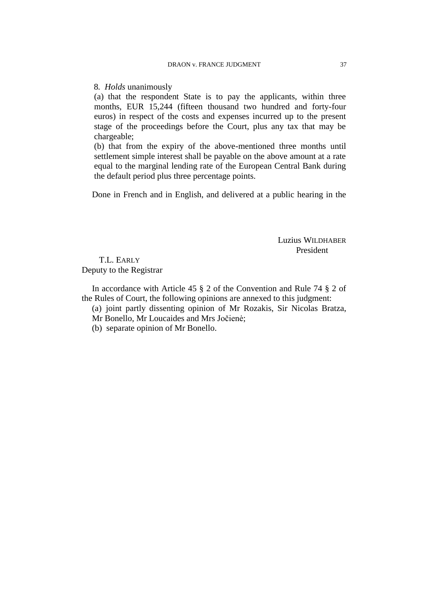8*. Holds* unanimously

(a) that the respondent State is to pay the applicants, within three months, EUR 15,244 (fifteen thousand two hundred and forty-four euros) in respect of the costs and expenses incurred up to the present stage of the proceedings before the Court, plus any tax that may be chargeable;

(b) that from the expiry of the above-mentioned three months until settlement simple interest shall be payable on the above amount at a rate equal to the marginal lending rate of the European Central Bank during the default period plus three percentage points.

Done in French and in English, and delivered at a public hearing in the

Luzius WILDHABER President

T.L. EARLY Deputy to the Registrar

In accordance with Article 45 § 2 of the Convention and Rule 74 § 2 of the Rules of Court, the following opinions are annexed to this judgment:

(a) joint partly dissenting opinion of Mr Rozakis, Sir Nicolas Bratza,

Mr Bonello, Mr Loucaides and Mrs Jočienė;

(b) separate opinion of Mr Bonello.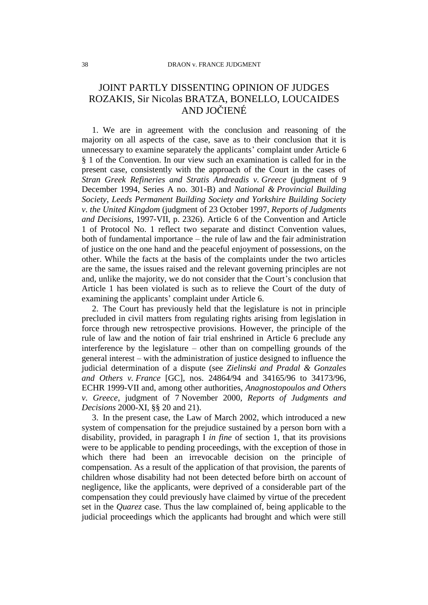# JOINT PARTLY DISSENTING OPINION OF JUDGES ROZAKIS, Sir Nicolas BRATZA, BONELLO, LOUCAIDES AND JOČIENÉ

1. We are in agreement with the conclusion and reasoning of the majority on all aspects of the case, save as to their conclusion that it is unnecessary to examine separately the applicants' complaint under Article 6 § 1 of the Convention. In our view such an examination is called for in the present case, consistently with the approach of the Court in the cases of *Stran Greek Refineries and Stratis Andreadis v. Greece* (judgment of 9 December 1994, Series A no. 301-B) and *National & Provincial Building Society, Leeds Permanent Building Society and Yorkshire Building Society v. the United Kingdom* (judgment of 23 October 1997, *Reports of Judgments and Decisions*, 1997-VII, p. 2326). Article 6 of the Convention and Article 1 of Protocol No. 1 reflect two separate and distinct Convention values, both of fundamental importance – the rule of law and the fair administration of justice on the one hand and the peaceful enjoyment of possessions, on the other. While the facts at the basis of the complaints under the two articles are the same, the issues raised and the relevant governing principles are not and, unlike the majority, we do not consider that the Court's conclusion that Article 1 has been violated is such as to relieve the Court of the duty of examining the applicants' complaint under Article 6.

2. The Court has previously held that the legislature is not in principle precluded in civil matters from regulating rights arising from legislation in force through new retrospective provisions. However, the principle of the rule of law and the notion of fair trial enshrined in Article 6 preclude any interference by the legislature – other than on compelling grounds of the general interest – with the administration of justice designed to influence the judicial determination of a dispute (see *Zielinski and Pradal & Gonzales and Others v. France* [GC], nos. 24864/94 and 34165/96 to 34173/96, ECHR 1999-VII and, among other authorities, *Anagnostopoulos and Others v. Greece*, judgment of 7 November 2000, *Reports of Judgments and Decisions* 2000-XI, §§ 20 and 21).

3. In the present case, the Law of March 2002, which introduced a new system of compensation for the prejudice sustained by a person born with a disability, provided, in paragraph I *in fine* of section 1, that its provisions were to be applicable to pending proceedings, with the exception of those in which there had been an irrevocable decision on the principle of compensation. As a result of the application of that provision, the parents of children whose disability had not been detected before birth on account of negligence, like the applicants, were deprived of a considerable part of the compensation they could previously have claimed by virtue of the precedent set in the *Quarez* case. Thus the law complained of, being applicable to the judicial proceedings which the applicants had brought and which were still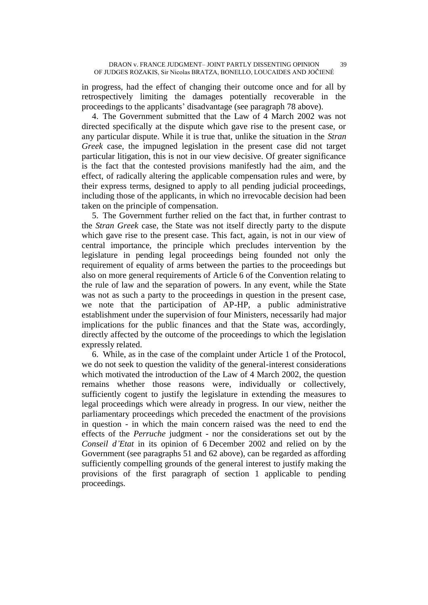in progress, had the effect of changing their outcome once and for all by retrospectively limiting the damages potentially recoverable in the proceedings to the applicants' disadvantage (see paragraph 78 above).

4. The Government submitted that the Law of 4 March 2002 was not directed specifically at the dispute which gave rise to the present case, or any particular dispute. While it is true that, unlike the situation in the *Stran Greek* case, the impugned legislation in the present case did not target particular litigation, this is not in our view decisive. Of greater significance is the fact that the contested provisions manifestly had the aim, and the effect, of radically altering the applicable compensation rules and were, by their express terms, designed to apply to all pending judicial proceedings, including those of the applicants, in which no irrevocable decision had been taken on the principle of compensation.

5. The Government further relied on the fact that, in further contrast to the *Stran Greek* case, the State was not itself directly party to the dispute which gave rise to the present case. This fact, again, is not in our view of central importance, the principle which precludes intervention by the legislature in pending legal proceedings being founded not only the requirement of equality of arms between the parties to the proceedings but also on more general requirements of Article 6 of the Convention relating to the rule of law and the separation of powers. In any event, while the State was not as such a party to the proceedings in question in the present case, we note that the participation of AP-HP, a public administrative establishment under the supervision of four Ministers, necessarily had major implications for the public finances and that the State was, accordingly, directly affected by the outcome of the proceedings to which the legislation expressly related.

6. While, as in the case of the complaint under Article 1 of the Protocol, we do not seek to question the validity of the general-interest considerations which motivated the introduction of the Law of 4 March 2002, the question remains whether those reasons were, individually or collectively, sufficiently cogent to justify the legislature in extending the measures to legal proceedings which were already in progress. In our view, neither the parliamentary proceedings which preceded the enactment of the provisions in question - in which the main concern raised was the need to end the effects of the *Perruche* judgment - nor the considerations set out by the *Conseil d'Etat* in its opinion of 6 December 2002 and relied on by the Government (see paragraphs 51 and 62 above), can be regarded as affording sufficiently compelling grounds of the general interest to justify making the provisions of the first paragraph of section 1 applicable to pending proceedings.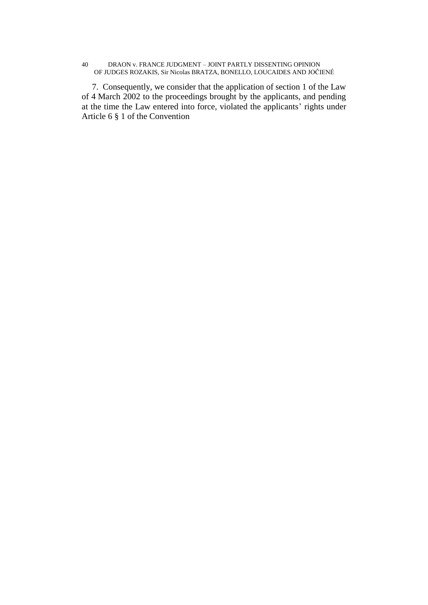#### 40 DRAON v. FRANCE JUDGMENT – JOINT PARTLY DISSENTING OPINION OF JUDGES ROZAKIS, Sir Nicolas BRATZA, BONELLO, LOUCAIDES AND JOČIENÉ

7. Consequently, we consider that the application of section 1 of the Law of 4 March 2002 to the proceedings brought by the applicants, and pending at the time the Law entered into force, violated the applicants' rights under Article 6 § 1 of the Convention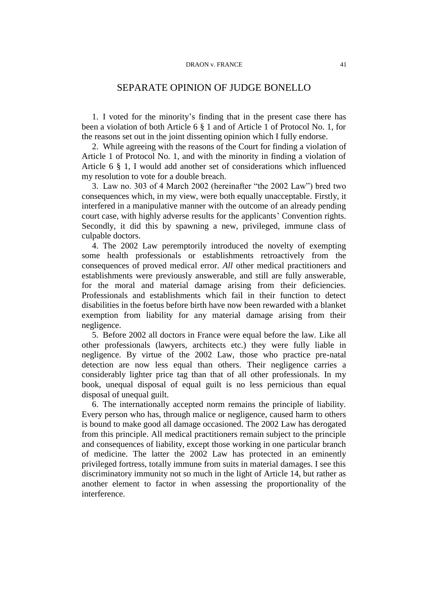### SEPARATE OPINION OF JUDGE BONELLO

1. I voted for the minority's finding that in the present case there has been a violation of both Article 6 § 1 and of Article 1 of Protocol No. 1, for the reasons set out in the joint dissenting opinion which I fully endorse.

2. While agreeing with the reasons of the Court for finding a violation of Article 1 of Protocol No. 1, and with the minority in finding a violation of Article 6 § 1, I would add another set of considerations which influenced my resolution to vote for a double breach.

3. Law no. 303 of 4 March 2002 (hereinafter "the 2002 Law") bred two consequences which, in my view, were both equally unacceptable. Firstly, it interfered in a manipulative manner with the outcome of an already pending court case, with highly adverse results for the applicants' Convention rights. Secondly, it did this by spawning a new, privileged, immune class of culpable doctors.

4. The 2002 Law peremptorily introduced the novelty of exempting some health professionals or establishments retroactively from the consequences of proved medical error. *All* other medical practitioners and establishments were previously answerable, and still are fully answerable, for the moral and material damage arising from their deficiencies. Professionals and establishments which fail in their function to detect disabilities in the foetus before birth have now been rewarded with a blanket exemption from liability for any material damage arising from their negligence.

5. Before 2002 all doctors in France were equal before the law. Like all other professionals (lawyers, architects etc.) they were fully liable in negligence. By virtue of the 2002 Law, those who practice pre-natal detection are now less equal than others. Their negligence carries a considerably lighter price tag than that of all other professionals. In my book, unequal disposal of equal guilt is no less pernicious than equal disposal of unequal guilt.

6. The internationally accepted norm remains the principle of liability. Every person who has, through malice or negligence, caused harm to others is bound to make good all damage occasioned. The 2002 Law has derogated from this principle. All medical practitioners remain subject to the principle and consequences of liability, except those working in one particular branch of medicine. The latter the 2002 Law has protected in an eminently privileged fortress, totally immune from suits in material damages. I see this discriminatory immunity not so much in the light of Article 14, but rather as another element to factor in when assessing the proportionality of the interference.